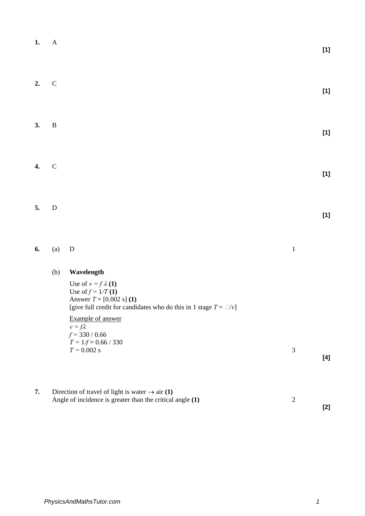| 1. | $\mathbf{A}$ |                                                                                                                                                                                                                                                                                        |                | $[1]$ |
|----|--------------|----------------------------------------------------------------------------------------------------------------------------------------------------------------------------------------------------------------------------------------------------------------------------------------|----------------|-------|
| 2. | $\mathsf C$  |                                                                                                                                                                                                                                                                                        |                | $[1]$ |
| 3. | $\, {\bf B}$ |                                                                                                                                                                                                                                                                                        |                | $[1]$ |
| 4. | $\mathbf C$  |                                                                                                                                                                                                                                                                                        |                | $[1]$ |
| 5. | ${\bf D}$    |                                                                                                                                                                                                                                                                                        |                | $[1]$ |
| 6. | (a)          | $\mathbf D$                                                                                                                                                                                                                                                                            | $\mathbf 1$    |       |
|    | (b)          | Wavelength<br>Use of $v = f \lambda(1)$<br>Use of $f = 1/T(1)$<br>Answer $T = [0.002 \text{ s}]$ (1)<br>[give full credit for candidates who do this in 1 stage $T = \Box / v$ ]<br>Example of answer<br>$v = f\lambda$<br>$f = 330 / 0.66$<br>$T = 1/f = 0.66 / 330$<br>$T = 0.002$ s | 3              | $[4]$ |
| 7. |              | Direction of travel of light is water $\rightarrow$ air (1)<br>Angle of incidence is greater than the critical angle (1)                                                                                                                                                               | $\overline{2}$ | $[2]$ |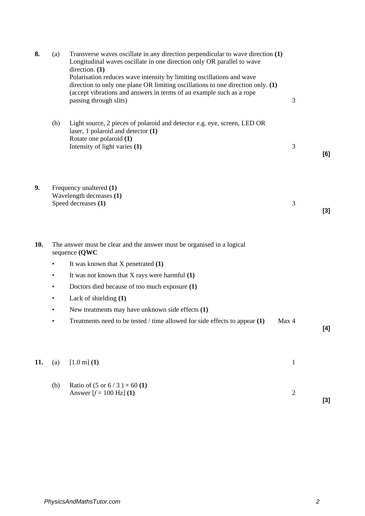| 8.  | (a)       | Transverse waves oscillate in any direction perpendicular to wave direction (1)<br>Longitudinal waves oscillate in one direction only OR parallel to wave<br>direction. $(1)$<br>Polarisation reduces wave intensity by limiting oscillations and wave<br>direction to only one plane OR limiting oscillations to one direction only. (1)<br>(accept vibrations and answers in terms of an example such as a rope<br>passing through slits) | 3            |                                                                                                            |
|-----|-----------|---------------------------------------------------------------------------------------------------------------------------------------------------------------------------------------------------------------------------------------------------------------------------------------------------------------------------------------------------------------------------------------------------------------------------------------------|--------------|------------------------------------------------------------------------------------------------------------|
|     | (b)       | Light source, 2 pieces of polaroid and detector e.g. eye, screen, LED OR<br>laser, 1 polaroid and detector $(1)$<br>Rotate one polaroid (1)                                                                                                                                                                                                                                                                                                 |              |                                                                                                            |
|     |           | Intensity of light varies (1)                                                                                                                                                                                                                                                                                                                                                                                                               | 3            | [6]                                                                                                        |
| 9.  |           | Frequency unaltered (1)<br>Wavelength decreases (1)<br>Speed decreases (1)                                                                                                                                                                                                                                                                                                                                                                  | 3            | $[3]$                                                                                                      |
| 10. |           | The answer must be clear and the answer must be organised in a logical<br>sequence (QWC                                                                                                                                                                                                                                                                                                                                                     |              |                                                                                                            |
|     |           | It was known that $X$ penetrated $(1)$                                                                                                                                                                                                                                                                                                                                                                                                      |              |                                                                                                            |
|     | ٠         | It was not known that $X$ rays were harmful $(1)$                                                                                                                                                                                                                                                                                                                                                                                           |              |                                                                                                            |
|     |           | Doctors died because of too much exposure (1)                                                                                                                                                                                                                                                                                                                                                                                               |              |                                                                                                            |
|     | $\bullet$ | Lack of shielding (1)                                                                                                                                                                                                                                                                                                                                                                                                                       |              |                                                                                                            |
|     | ٠         | New treatments may have unknown side effects (1)                                                                                                                                                                                                                                                                                                                                                                                            |              |                                                                                                            |
|     | ٠         | Treatments need to be tested / time allowed for side effects to appear $(1)$                                                                                                                                                                                                                                                                                                                                                                | Max 4        | $[4] % \includegraphics[width=0.9\columnwidth]{figures/fig_4} \caption{A=}\ \vspace{0.8cm} \label{fig:4}%$ |
| 11. | (a)       | $[1.0 \text{ m}]$ (1)                                                                                                                                                                                                                                                                                                                                                                                                                       | $\mathbf{1}$ |                                                                                                            |
|     | (b)       | Ratio of $(5 \text{ or } 6/3) \times 60$ (1)<br>Answer $[f = 100 \text{ Hz}]$ (1)                                                                                                                                                                                                                                                                                                                                                           | $\sqrt{2}$   | $[3]$                                                                                                      |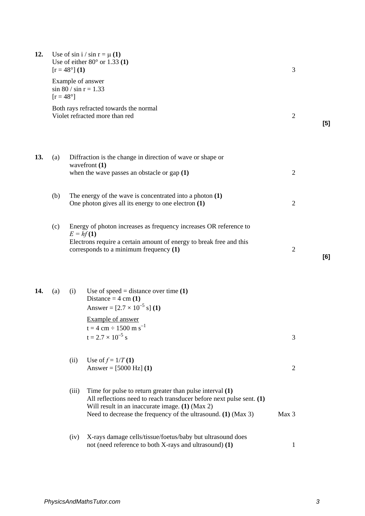| 12. |                    | $[r = 48^{\circ}] (1)$ | Use of $\sin i / \sin r = \mu(1)$<br>Use of either $80^\circ$ or 1.33 (1)                                                                                                                                                                                | 3              |     |
|-----|--------------------|------------------------|----------------------------------------------------------------------------------------------------------------------------------------------------------------------------------------------------------------------------------------------------------|----------------|-----|
|     | $[r = 48^{\circ}]$ |                        | Example of answer<br>$\sin 80 / \sin r = 1.33$                                                                                                                                                                                                           |                |     |
|     |                    |                        | Both rays refracted towards the normal<br>Violet refracted more than red                                                                                                                                                                                 | $\overline{2}$ | [5] |
| 13. | (a)                |                        | Diffraction is the change in direction of wave or shape or<br>wavefront (1)                                                                                                                                                                              |                |     |
|     |                    |                        | when the wave passes an obstacle or gap $(1)$                                                                                                                                                                                                            | $\overline{2}$ |     |
|     | (b)                |                        | The energy of the wave is concentrated into a photon $(1)$<br>One photon gives all its energy to one electron $(1)$                                                                                                                                      | $\overline{2}$ |     |
|     | (c)                | $E = hf(1)$            | Energy of photon increases as frequency increases OR reference to<br>Electrons require a certain amount of energy to break free and this<br>corresponds to a minimum frequency (1)                                                                       | $\overline{2}$ | [6] |
| 14. | (a)                | (i)                    | Use of speed = distance over time $(1)$<br>Distance = $4 \text{ cm} (1)$<br>Answer = $[2.7 \times 10^{-5} \text{ s}]$ (1)                                                                                                                                |                |     |
|     |                    |                        | Example of answer<br>$t = 4$ cm $\div$ 1500 m s <sup>-1</sup><br>$t = 2.7 \times 10^{-5}$ s                                                                                                                                                              | 3              |     |
|     |                    | (ii)                   | Use of $f = 1/T(1)$<br>Answer = $[5000 Hz]$ (1)                                                                                                                                                                                                          | $\overline{2}$ |     |
|     |                    | (iii)                  | Time for pulse to return greater than pulse interval $(1)$<br>All reflections need to reach transducer before next pulse sent. $(1)$<br>Will result in an inaccurate image. (1) (Max 2)<br>Need to decrease the frequency of the ultrasound. (1) (Max 3) | Max 3          |     |
|     |                    | (iv)                   | X-rays damage cells/tissue/foetus/baby but ultrasound does<br>not (need reference to both X-rays and ultrasound) (1)                                                                                                                                     | $\mathbf{1}$   |     |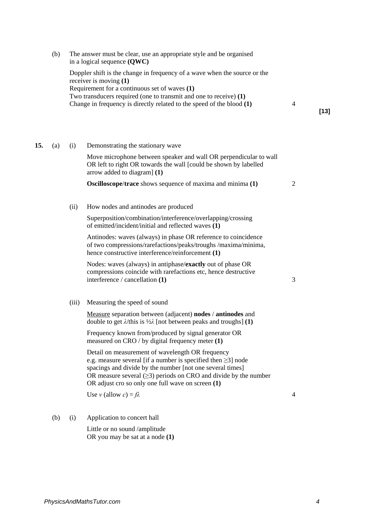|     | (b) |                                                                                                                                                                                                                                                                                                        | The answer must be clear, use an appropriate style and be organised<br>in a logical sequence $(QWC)$                                                                                                                                                                                                              |                |        |
|-----|-----|--------------------------------------------------------------------------------------------------------------------------------------------------------------------------------------------------------------------------------------------------------------------------------------------------------|-------------------------------------------------------------------------------------------------------------------------------------------------------------------------------------------------------------------------------------------------------------------------------------------------------------------|----------------|--------|
|     |     | Doppler shift is the change in frequency of a wave when the source or the<br>receiver is moving $(1)$<br>Requirement for a continuous set of waves (1)<br>Two transducers required (one to transmit and one to receive) $(1)$<br>Change in frequency is directly related to the speed of the blood (1) |                                                                                                                                                                                                                                                                                                                   | $\overline{4}$ | $[13]$ |
| 15. | (a) | (i)                                                                                                                                                                                                                                                                                                    | Demonstrating the stationary wave                                                                                                                                                                                                                                                                                 |                |        |
|     |     |                                                                                                                                                                                                                                                                                                        | Move microphone between speaker and wall OR perpendicular to wall<br>OR left to right OR towards the wall [could be shown by labelled<br>arrow added to diagram] (1)                                                                                                                                              |                |        |
|     |     |                                                                                                                                                                                                                                                                                                        | <b>Oscilloscope/trace</b> shows sequence of maxima and minima (1)                                                                                                                                                                                                                                                 | $\overline{2}$ |        |
|     |     | (ii)                                                                                                                                                                                                                                                                                                   | How nodes and antinodes are produced                                                                                                                                                                                                                                                                              |                |        |
|     |     |                                                                                                                                                                                                                                                                                                        | Superposition/combination/interference/overlapping/crossing<br>of emitted/incident/initial and reflected waves (1)                                                                                                                                                                                                |                |        |
|     |     |                                                                                                                                                                                                                                                                                                        | Antinodes: waves (always) in phase OR reference to coincidence<br>of two compressions/rarefactions/peaks/troughs /maxima/minima,<br>hence constructive interference/reinforcement (1)                                                                                                                             |                |        |
|     |     |                                                                                                                                                                                                                                                                                                        | Nodes: waves (always) in antiphase/exactly out of phase OR<br>compressions coincide with rarefactions etc, hence destructive<br>interference / cancellation (1)                                                                                                                                                   | 3              |        |
|     |     | (iii)                                                                                                                                                                                                                                                                                                  | Measuring the speed of sound                                                                                                                                                                                                                                                                                      |                |        |
|     |     |                                                                                                                                                                                                                                                                                                        | Measure separation between (adjacent) nodes / antinodes and<br>double to get $\lambda$ /this is $\frac{1}{2}\lambda$ [not between peaks and troughs] (1)                                                                                                                                                          |                |        |
|     |     |                                                                                                                                                                                                                                                                                                        | Frequency known from/produced by signal generator OR<br>measured on CRO / by digital frequency meter (1)                                                                                                                                                                                                          |                |        |
|     |     |                                                                                                                                                                                                                                                                                                        | Detail on measurement of wavelength OR frequency<br>e.g. measure several [if a number is specified then $\geq$ 3] node<br>spacings and divide by the number [not one several times]<br>OR measure several $(\geq 3)$ periods on CRO and divide by the number<br>OR adjust cro so only one full wave on screen (1) |                |        |
|     |     |                                                                                                                                                                                                                                                                                                        | Use v (allow c) = $f\lambda$                                                                                                                                                                                                                                                                                      | 4              |        |
|     | (b) | (i)                                                                                                                                                                                                                                                                                                    | Application to concert hall                                                                                                                                                                                                                                                                                       |                |        |
|     |     |                                                                                                                                                                                                                                                                                                        |                                                                                                                                                                                                                                                                                                                   |                |        |

Little or no sound /amplitude OR you may be sat at a node **(1)**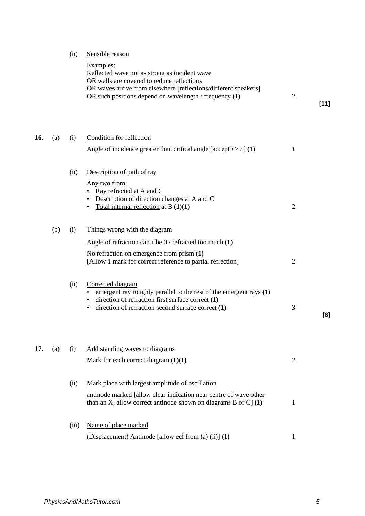| 17. | (a) | (i)   | Add standing waves to diagrams<br>Mark for each correct diagram $(1)(1)$                                                                                                                  | 2 |
|-----|-----|-------|-------------------------------------------------------------------------------------------------------------------------------------------------------------------------------------------|---|
|     |     | (ii)  | Mark place with largest amplitude of oscillation<br>antinode marked [allow clear indication near centre of wave other<br>than an X, allow correct antinode shown on diagrams B or C $(1)$ |   |
|     |     | (iii) | Name of place marked<br>(Displacement) Antinode [allow ecf from (a) (ii)] (1)                                                                                                             | 1 |
|     |     |       |                                                                                                                                                                                           |   |

| (a) | (i)  | Condition for reflection<br>Angle of incidence greater than critical angle [accept $i > c$ ] (1)                                                                                                         | 1 |
|-----|------|----------------------------------------------------------------------------------------------------------------------------------------------------------------------------------------------------------|---|
|     | (ii) | Description of path of ray                                                                                                                                                                               |   |
|     |      | Any two from:<br>Ray refracted at A and C<br>Description of direction changes at A and C<br>Total internal reflection at B $(1)(1)$                                                                      | 2 |
| (b) | (i)  | Things wrong with the diagram                                                                                                                                                                            |   |
|     |      | Angle of refraction can't be $0/$ refracted too much (1)                                                                                                                                                 |   |
|     |      | No refraction on emergence from prism $(1)$<br>[Allow 1 mark for correct reference to partial reflection]                                                                                                | 2 |
|     | (ii) | Corrected diagram<br>emergent ray roughly parallel to the rest of the emergent rays $(1)$<br>• direction of refraction first surface correct (1)<br>direction of refraction second surface correct $(1)$ | 3 |
|     |      |                                                                                                                                                                                                          |   |
|     |      |                                                                                                                                                                                                          |   |

Reflected wave not as strong as incident wave OR walls are covered to reduce reflections

OR waves arrive from elsewhere [reflections/different speakers]

OR such positions depend on wavelength / frequency **(1)** 2

(ii) Sensible reason Examples:

**[11]**

**[8]**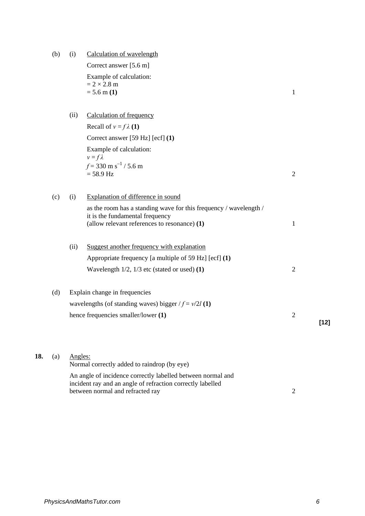(b) (i) Calculation of wavelength

Correct answer [5.6 m] Example of calculation:  $= 2 \times 2.8$  m  $= 5.6 \text{ m} (1)$  1

(ii) Calculation of frequency

Recall of  $v = f \lambda(1)$  Correct answer [59 Hz] [ecf] **(1)**  Example of calculation:  $v = f \lambda$  $f = 330 \text{ m s}^{-1}$  / 5.6 m  $= 58.9 \text{ Hz}$  2

(c) (i) Explanation of difference in sound as the room has a standing wave for this frequency / wavelength / it is the fundamental frequency (allow relevant references to resonance) **(1)** 1 (ii) Suggest another frequency with explanation Appropriate frequency [a multiple of 59 Hz] [ecf] **(1)**  Wavelength 1/2, 1/3 etc (stated or used) **(1)** 2 (d) Explain change in frequencies wavelengths (of standing waves) bigger  $/f = v/2l$  **(1)** hence frequencies smaller/lower **(1)** 2

**[12]**

| (a) | Angles:                                                     |
|-----|-------------------------------------------------------------|
|     | Normal correctly added to raindrop (by eye)                 |
|     | An angle of incidence correctly labelled between normal and |
|     | incident ray and an angle of refraction correctly labelled  |

between normal and refracted ray 2

*PhysicsAndMathsTutor.com 6*

**18.**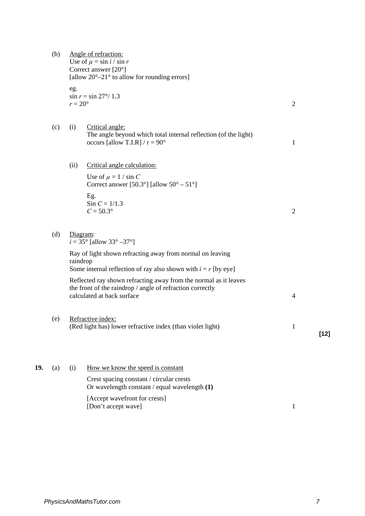|     | (b) |                         | Angle of refraction:<br>Use of $\mu = \sin i / \sin r$<br>Correct answer $[20^{\circ}]$<br>[allow $20^{\circ}-21^{\circ}$ to allow for rounding errors]     |                |        |
|-----|-----|-------------------------|-------------------------------------------------------------------------------------------------------------------------------------------------------------|----------------|--------|
|     |     | eg.<br>$r = 20^{\circ}$ | $\sin r = \sin 27^{\circ}/ 1.3$                                                                                                                             | $\mathfrak{2}$ |        |
|     | (c) | (i)                     | Critical angle:<br>The angle beyond which total internal reflection (of the light)<br>occurs [allow T.I.R] / $r = 90^\circ$                                 | $\mathbf{1}$   |        |
|     |     | (ii)                    | Critical angle calculation:                                                                                                                                 |                |        |
|     |     |                         | Use of $\mu = 1 / \sin C$<br>Correct answer [50.3°] [allow $50^{\circ} - 51^{\circ}$ ]                                                                      |                |        |
|     |     |                         | Eg.<br>$Sin C = 1/1.3$<br>$C = 50.3^{\circ}$                                                                                                                | $\overline{2}$ |        |
|     | (d) |                         | Diagram:<br>$i = 35^{\circ}$ [allow 33° -37°]                                                                                                               |                |        |
|     |     | raindrop                | Ray of light shown refracting away from normal on leaving<br>Some internal reflection of ray also shown with $i = r$ [by eye]                               |                |        |
|     |     |                         | Reflected ray shown refracting away from the normal as it leaves<br>the front of the raindrop / angle of refraction correctly<br>calculated at back surface | $\overline{4}$ |        |
|     | (e) |                         | Refractive index:<br>(Red light has) lower refractive index (than violet light)                                                                             | $\mathbf{1}$   | $[12]$ |
| 19. | (a) | (i)                     | How we know the speed is constant                                                                                                                           |                |        |
|     |     |                         | Crest spacing constant / circular crests<br>Or wavelength constant / equal wavelength (1)                                                                   |                |        |
|     |     |                         | [Accept wavefront for crests]<br>[Don't accept wave]                                                                                                        | $\mathbf{1}$   |        |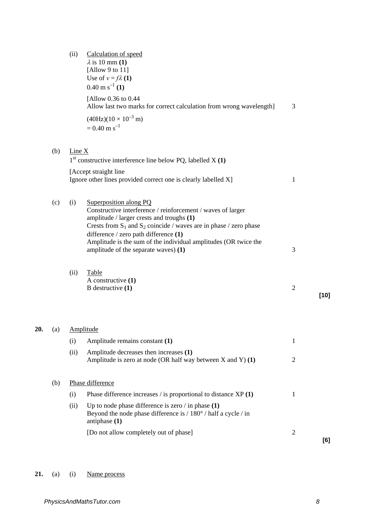|     |     | (ii)   | Calculation of speed<br>$\lambda$ is 10 mm (1)<br>[Allow 9 to 11]<br>Use of $v = f \lambda(1)$<br>$0.40 \text{ m s}^{-1}$ (1)                                                                                                                         |                |        |
|-----|-----|--------|-------------------------------------------------------------------------------------------------------------------------------------------------------------------------------------------------------------------------------------------------------|----------------|--------|
|     |     |        | [Allow 0.36 to 0.44]<br>Allow last two marks for correct calculation from wrong wavelength]                                                                                                                                                           | 3              |        |
|     |     |        | $(40 Hz)(10 \times 10^{-3} m)$<br>$= 0.40$ m s <sup>-1</sup>                                                                                                                                                                                          |                |        |
|     | (b) | Line X | $1st$ constructive interference line below PQ, labelled X (1)                                                                                                                                                                                         |                |        |
|     |     |        | [Accept straight line]<br>Ignore other lines provided correct one is clearly labelled X]                                                                                                                                                              | 1              |        |
|     | (c) | (i)    | Superposition along PQ<br>Constructive interference / reinforcement / waves of larger<br>amplitude / larger crests and troughs (1)<br>Crests from $S_1$ and $S_2$ coincide / waves are in phase / zero phase<br>difference / zero path difference (1) |                |        |
|     |     |        | Amplitude is the sum of the individual amplitudes (OR twice the<br>amplitude of the separate waves) (1)                                                                                                                                               | 3              |        |
|     |     | (ii)   | Table<br>A constructive $(1)$<br>B destructive $(1)$                                                                                                                                                                                                  | $\overline{2}$ | $[10]$ |
| 20. | (a) |        | Amplitude                                                                                                                                                                                                                                             |                |        |
|     |     | (i)    | Amplitude remains constant (1)                                                                                                                                                                                                                        | $\mathbf{1}$   |        |
|     |     | (ii)   | Amplitude decreases then increases (1)<br>Amplitude is zero at node (OR half way between $X$ and $Y$ ) (1)                                                                                                                                            | $\overline{2}$ |        |
|     | (b) |        | Phase difference                                                                                                                                                                                                                                      |                |        |
|     |     | (i)    | Phase difference increases / is proportional to distance XP (1)                                                                                                                                                                                       | $\mathbf{1}$   |        |
|     |     | (ii)   | Up to node phase difference is zero $\ell$ in phase (1)<br>Beyond the node phase difference is / 180° / half a cycle / in<br>antiphase $(1)$                                                                                                          |                |        |
|     |     |        | [Do not allow completely out of phase]                                                                                                                                                                                                                | $\overline{2}$ | [6]    |

# 21. (a) (i) <u>Name process</u>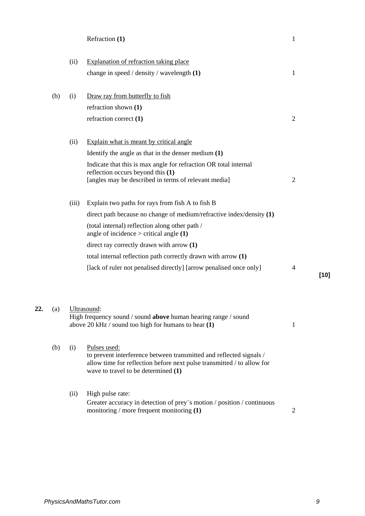| Refraction (1) |  |
|----------------|--|
|----------------|--|

|     | (ii)  | Explanation of refraction taking place                                                                                           |                |        |
|-----|-------|----------------------------------------------------------------------------------------------------------------------------------|----------------|--------|
|     |       | change in speed / density / wavelength (1)                                                                                       | 1              |        |
|     |       |                                                                                                                                  |                |        |
| (b) | (i)   | Draw ray from butterfly to fish                                                                                                  |                |        |
|     |       | refraction shown (1)                                                                                                             |                |        |
|     |       | refraction correct (1)                                                                                                           | $\overline{2}$ |        |
|     | (ii)  | Explain what is meant by critical angle                                                                                          |                |        |
|     |       | Identify the angle as that in the denser medium $(1)$                                                                            |                |        |
|     |       | Indicate that this is max angle for refraction OR total internal                                                                 |                |        |
|     |       | reflection occurs beyond this (1)<br>[angles may be described in terms of relevant media]                                        | $\overline{2}$ |        |
|     |       |                                                                                                                                  |                |        |
|     | (iii) | Explain two paths for rays from fish A to fish B                                                                                 |                |        |
|     |       | direct path because no change of medium/refractive index/density $(1)$                                                           |                |        |
|     |       | (total internal) reflection along other path /<br>angle of incidence $>$ critical angle $(1)$                                    |                |        |
|     |       | direct ray correctly drawn with arrow (1)                                                                                        |                |        |
|     |       | total internal reflection path correctly drawn with arrow (1)                                                                    |                |        |
|     |       | [lack of ruler not penalised directly] [arrow penalised once only]                                                               | 4              |        |
|     |       |                                                                                                                                  |                | $[10]$ |
|     |       |                                                                                                                                  |                |        |
| (a) |       | Ultrasound:                                                                                                                      |                |        |
|     |       | High frequency sound / sound above human hearing range / sound                                                                   |                |        |
|     |       | above 20 kHz $/$ sound too high for humans to hear $(1)$                                                                         | 1              |        |
| (b) | (i)   | Pulses used:                                                                                                                     |                |        |
|     |       | to prevent interference between transmitted and reflected signals /                                                              |                |        |
|     |       | allow time for reflection before next pulse transmitted / to allow for<br>wave to travel to be determined (1)                    |                |        |
|     |       |                                                                                                                                  |                |        |
|     | (ii)  | High pulse rate:                                                                                                                 |                |        |
|     |       | Greater accuracy in detection of prey <sup>-</sup> s motion / position / continuous<br>monitoring / more frequent monitoring (1) | $\overline{2}$ |        |

**22.**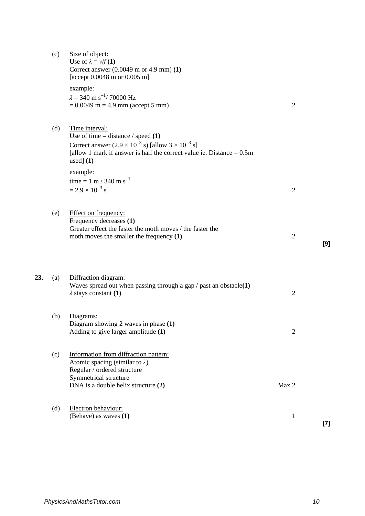|     | (c) | Size of object:<br>Use of $\lambda = v/f(1)$<br>Correct answer $(0.0049 \text{ m or } 4.9 \text{ mm})$ (1)<br>[accept 0.0048 m or 0.005 m]                                                                                                 |                |       |
|-----|-----|--------------------------------------------------------------------------------------------------------------------------------------------------------------------------------------------------------------------------------------------|----------------|-------|
|     |     | example:<br>$\lambda = 340 \text{ m s}^{-1} / 70000 \text{ Hz}$<br>$= 0.0049$ m = 4.9 mm (accept 5 mm)                                                                                                                                     | $\overline{2}$ |       |
|     | (d) | Time interval:<br>Use of time = distance $/$ speed (1)<br>Correct answer $(2.9 \times 10^{-3} \text{ s})$ [allow $3 \times 10^{-3} \text{ s}$ ]<br>[allow 1 mark if answer is half the correct value ie. Distance $= 0.5$ m<br>used] $(1)$ |                |       |
|     |     | example:<br>time = 1 m / 340 m s <sup>-1</sup><br>$= 2.9 \times 10^{-3}$ s                                                                                                                                                                 | $\overline{2}$ |       |
|     | (e) | Effect on frequency:<br>Frequency decreases (1)<br>Greater effect the faster the moth moves / the faster the<br>moth moves the smaller the frequency $(1)$                                                                                 | $\overline{2}$ | [9]   |
| 23. | (a) | Diffraction diagram:<br>Waves spread out when passing through a gap $/$ past an obstacle(1)<br>$\lambda$ stays constant (1)                                                                                                                | $\overline{2}$ |       |
|     | (b) | Diagrams:<br>Diagram showing 2 waves in phase $(1)$<br>Adding to give larger amplitude (1)                                                                                                                                                 | $\mathfrak{2}$ |       |
|     | (c) | Information from diffraction pattern:<br>Atomic spacing (similar to $\lambda$ )<br>Regular / ordered structure<br>Symmetrical structure<br>DNA is a double helix structure (2)                                                             | Max 2          |       |
|     | (d) | Electron behaviour:<br>(Behave) as waves (1)                                                                                                                                                                                               | $\mathbf{1}$   | $[7]$ |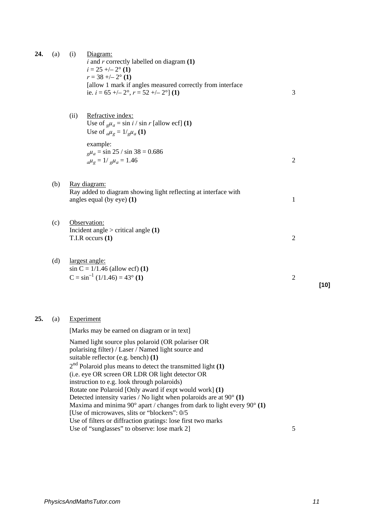| 24. | (a) | (i)<br>Diagram:<br>$i$ and $r$ correctly labelled on diagram $(1)$<br>$i = 25 + -2^{\circ} (1)$<br>$r = 38 + -2^{\circ} (1)$<br>[allow 1 mark if angles measured correctly from interface<br>ie. $i = 65 + (-2^{\circ}, r = 52 + (-2^{\circ}) (1)$<br>Refractive index:<br>(ii)<br>Use of $g\mu_a = \sin i / \sin r$ [allow ecf] (1)                                            | 3              |        |
|-----|-----|---------------------------------------------------------------------------------------------------------------------------------------------------------------------------------------------------------------------------------------------------------------------------------------------------------------------------------------------------------------------------------|----------------|--------|
|     |     | Use of $_{a}\mu_{g} = 1/_{g}\mu_{a}$ (1)<br>example:<br>$_{\rm g}\mu_a = \sin 25 / \sin 38 = 0.686$<br>$_{a}\mu_{g} = 1/_{g}\mu_{a} = 1.46$                                                                                                                                                                                                                                     | $\overline{2}$ |        |
|     | (b) | Ray diagram:<br>Ray added to diagram showing light reflecting at interface with<br>angles equal (by eye) $(1)$                                                                                                                                                                                                                                                                  | $\mathbf{1}$   |        |
|     | (c) | Observation:<br>Incident angle $>$ critical angle $(1)$<br>$T.I.R$ occurs $(1)$                                                                                                                                                                                                                                                                                                 | $\overline{c}$ |        |
|     | (d) | largest angle:<br>$\sin C = 1/1.46$ (allow ecf) (1)<br>$C = \sin^{-1}(1/1.46) = 43^{\circ}(1)$                                                                                                                                                                                                                                                                                  | $\sqrt{2}$     | $[10]$ |
| 25. | (a) | Experiment<br>[Marks may be earned on diagram or in text]<br>Named light source plus polaroid (OR polariser OR<br>polarising filter) / Laser / Named light source and<br>suitable reflector (e.g. bench) (1)<br>$2nd$ Polaroid plus means to detect the transmitted light (1)<br>(i.e. eye OR screen OR LDR OR light detector OR<br>instruction to e.g. look through polaroids) |                |        |

Rotate one Polaroid [Only award if expt would work] **(1)** Detected intensity varies / No light when polaroids are at 90° **(1)** Maxima and minima 90° apart / changes from dark to light every 90° **(1)** [Use of microwaves, slits or "blockers": 0/5 Use of filters or diffraction gratings: lose first two marks

Use of "sunglasses" to observe: lose mark 2] 5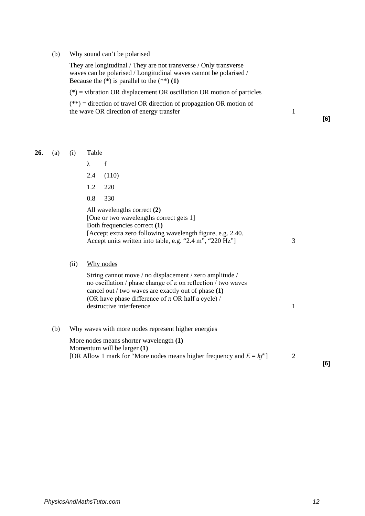#### (b) Why sound can't be polarised

**26.** 

They are longitudinal / They are not transverse / Only transverse waves can be polarised / Longitudinal waves cannot be polarised / Because the  $(*)$  is parallel to the  $(**)$  (1)

 $(*)$  = vibration OR displacement OR oscillation OR motion of particles

| $(**)$ = direction of travel OR direction of propagation OR motion of |  |
|-----------------------------------------------------------------------|--|
| the wave OR direction of energy transfer                              |  |

**[6]**

| (a) | (i)  | <b>Table</b> |                                                                                                                                                                                                                                                                           |   |
|-----|------|--------------|---------------------------------------------------------------------------------------------------------------------------------------------------------------------------------------------------------------------------------------------------------------------------|---|
|     |      | λ            | f                                                                                                                                                                                                                                                                         |   |
|     |      | 2.4          | (110)                                                                                                                                                                                                                                                                     |   |
|     |      | 1.2          | 220                                                                                                                                                                                                                                                                       |   |
|     |      | 0.8          | 330                                                                                                                                                                                                                                                                       |   |
|     |      |              | All wavelengths correct (2)<br>[One or two wavelengths correct gets 1]<br>Both frequencies correct (1)<br>[Accept extra zero following wavelength figure, e.g. 2.40.]<br>Accept units written into table, e.g. "2.4 m", "220 Hz"]                                         | 3 |
|     | (ii) |              | Why nodes                                                                                                                                                                                                                                                                 |   |
|     |      |              | String cannot move / no displacement / zero amplitude /<br>no oscillation / phase change of $\pi$ on reflection / two waves<br>cancel out / two waves are exactly out of phase $(1)$<br>(OR have phase difference of $\pi$ OR half a cycle) /<br>destructive interference | 1 |
| (b) |      |              | Why waves with more nodes represent higher energies<br>the contract of the contract of the contract of the contract of the contract of the contract of the contract of                                                                                                    |   |

More nodes means shorter wavelength **(1)**  Momentum will be larger **(1)**  [OR Allow 1 mark for "More nodes means higher frequency and  $E = hf$ "] 2

**[6]**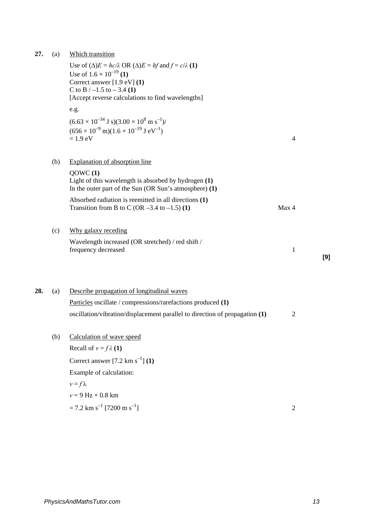| 27. | (a) | Which transition                                                                                                                                                                                                                                |                |     |
|-----|-----|-------------------------------------------------------------------------------------------------------------------------------------------------------------------------------------------------------------------------------------------------|----------------|-----|
|     |     | Use of $(\Delta)E = hc/\lambda$ OR $(\Delta)E = hf$ and $f = c/\lambda$ (1)<br>Use of $1.6 \times 10^{-19}$ (1)<br>Correct answer $[1.9 \text{ eV}]$ (1)<br>C to B $/ -1.5$ to $- 3.4$ (1)<br>[Accept reverse calculations to find wavelengths] |                |     |
|     |     | e.g.                                                                                                                                                                                                                                            |                |     |
|     |     | $(6.63 \times 10^{-34} \text{ J s})(3.00 \times 10^8 \text{ m s}^{-1})$ /<br>$(656 \times 10^{-9} \text{ m})(1.6 \times 10^{-19} \text{ J eV}^{-1})$<br>$= 1.9$ eV                                                                              | $\overline{4}$ |     |
|     | (b) | <b>Explanation of absorption line</b>                                                                                                                                                                                                           |                |     |
|     |     | QOWC(1)<br>Light of this wavelength is absorbed by hydrogen (1)<br>In the outer part of the Sun (OR Sun's atmosphere) $(1)$                                                                                                                     |                |     |
|     |     | Absorbed radiation is reemitted in all directions (1)<br>Transition from B to C (OR $-3.4$ to $-1.5$ ) (1)                                                                                                                                      | Max 4          |     |
|     | (c) | Why galaxy receding                                                                                                                                                                                                                             |                |     |
|     |     | Wavelength increased (OR stretched) / red shift /<br>frequency decreased                                                                                                                                                                        | $\mathbf{1}$   | [9] |
| 28. | (a) | Describe propagation of longitudinal waves                                                                                                                                                                                                      |                |     |
|     |     | Particles oscillate / compressions/rarefactions produced (1)                                                                                                                                                                                    |                |     |
|     |     | oscillation/vibration/displacement parallel to direction of propagation (1)                                                                                                                                                                     | $\overline{2}$ |     |
|     | (b) | Calculation of wave speed                                                                                                                                                                                                                       |                |     |
|     |     | Recall of $v = f \lambda(1)$                                                                                                                                                                                                                    |                |     |
|     |     | Correct answer $[7.2 \text{ km s}^{-1}]$ (1)                                                                                                                                                                                                    |                |     |
|     |     | Example of calculation:                                                                                                                                                                                                                         |                |     |
|     |     | $v = f\lambda$                                                                                                                                                                                                                                  |                |     |
|     |     | $v = 9$ Hz $\times$ 0.8 km                                                                                                                                                                                                                      |                |     |
|     |     | $= 7.2$ km s <sup>-1</sup> [7200 m s <sup>-1</sup> ]                                                                                                                                                                                            | $\overline{2}$ |     |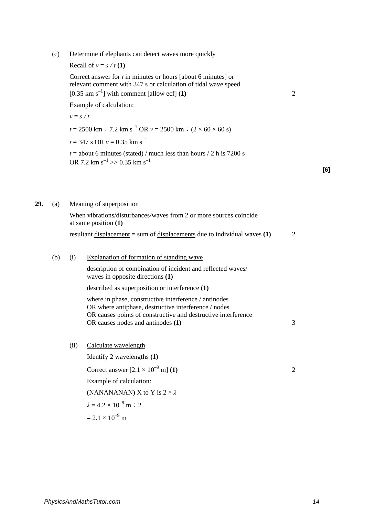(c) Determine if elephants can detect waves more quickly

Recall of  $v = s / t(1)$ 

Correct answer for *t* in minutes or hours [about 6 minutes] or relevant comment with 347 s or calculation of tidal wave speed  $[0.35 \text{ km s}^{-1}]$  with comment [allow ecf] **(1)** 2

**[6]**

Example of calculation:

 $v = s / t$  $t = 2500 \text{ km} \div 7.2 \text{ km s}^{-1} \text{ OR } v = 2500 \text{ km} \div (2 \times 60 \times 60 \text{ s})$  $t = 347$  s OR  $v = 0.35$  km s<sup>-1</sup>  $t =$  about 6 minutes (stated) / much less than hours  $/ 2$  h is 7200 s OR 7.2 km s<sup>-1</sup> >> 0.35 km s<sup>-1</sup> **29.** (a) Meaning of superposition When vibrations/disturbances/waves from 2 or more sources coincide at same position **(1)**  resultant displacement = sum of displacements due to individual waves **(1)** 2 (b) (i) Explanation of formation of standing wave description of combination of incident and reflected waves/ waves in opposite directions **(1)**  described as superposition or interference **(1)** 

where in phase, constructive interference / antinodes OR where antiphase, destructive interference / nodes OR causes points of constructive and destructive interference OR causes nodes and antinodes **(1)** 3

(ii) Calculate wavelength

Identify 2 wavelengths **(1)**  Correct answer  $[2.1 \times 10^{-9} \text{ m}]$  **(1)** 2 Example of calculation: (NANANANAN) X to Y is  $2 \times \lambda$  $\lambda = 4.2 \times 10^{-9}$  m  $\div 2$  $= 2.1 \times 10^{-9}$  m

*PhysicsAndMathsTutor.com 14*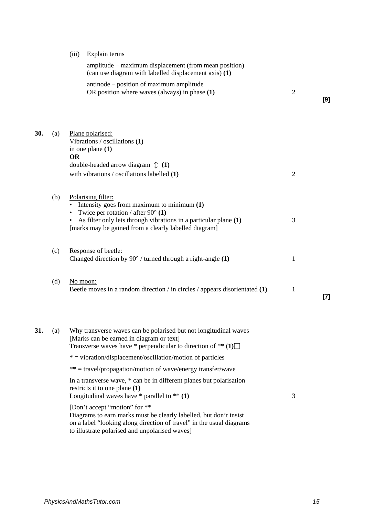(iii) Explain terms

|     |     | Lapidin termo                                                                                                                                                                      |                |       |
|-----|-----|------------------------------------------------------------------------------------------------------------------------------------------------------------------------------------|----------------|-------|
|     |     | amplitude – maximum displacement (from mean position)<br>(can use diagram with labelled displacement axis) (1)                                                                     |                |       |
|     |     | antinode – position of maximum amplitude<br>OR position where waves (always) in phase (1)                                                                                          | $\overline{2}$ | [9]   |
| 30. | (a) | Plane polarised:<br>Vibrations / oscillations (1)                                                                                                                                  |                |       |
|     |     | in one plane $(1)$<br><b>OR</b>                                                                                                                                                    |                |       |
|     |     | double-headed arrow diagram $\updownarrow$ (1)                                                                                                                                     |                |       |
|     |     | with vibrations $\prime$ oscillations labelled $(1)$                                                                                                                               | $\overline{2}$ |       |
|     | (b) | Polarising filter:<br>• Intensity goes from maximum to minimum $(1)$                                                                                                               |                |       |
|     |     | Twice per rotation / after $90^{\circ}$ (1)<br>As filter only lets through vibrations in a particular plane (1)<br>[marks may be gained from a clearly labelled diagram]           | 3              |       |
|     | (c) | Response of beetle:<br>Changed direction by $90^{\circ}$ / turned through a right-angle (1)                                                                                        | 1              |       |
|     | (d) | No moon:<br>Beetle moves in a random direction / in circles / appears disorientated $(1)$                                                                                          | 1              | $[7]$ |
|     |     |                                                                                                                                                                                    |                |       |
| 31. |     | (a) Why transverse waves can be polarised but not longitudinal waves<br>[Marks can be earned in diagram or text]<br>Transverse waves have * perpendicular to direction of ** $(1)$ |                |       |
|     |     | $*$ = vibration/displacement/oscillation/motion of particles                                                                                                                       |                |       |
|     |     | ** = travel/propagation/motion of wave/energy transfer/wave                                                                                                                        |                |       |
|     |     | In a transverse wave, * can be in different planes but polarisation<br>restricts it to one plane (1)<br>Longitudinal waves have $*$ parallel to $**$ (1)                           | 3              |       |
|     |     | [Don't accept "motion" for **                                                                                                                                                      |                |       |
|     |     |                                                                                                                                                                                    |                |       |

Diagrams to earn marks must be clearly labelled, but don't insist on a label "looking along direction of travel" in the usual diagrams to illustrate polarised and unpolarised waves]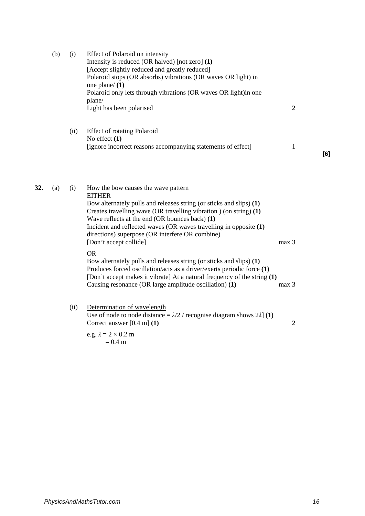|     | (b) | (i)  | <b>Effect of Polaroid on intensity</b><br>Intensity is reduced (OR halved) [not zero] (1)<br>[Accept slightly reduced and greatly reduced]<br>Polaroid stops (OR absorbs) vibrations (OR waves OR light) in<br>one plane/ $(1)$<br>Polaroid only lets through vibrations (OR waves OR light)in one<br>plane/<br>Light has been polarised                                                                                                                                                                                                                                                                                                                                                                 | $\overline{2}$            |     |
|-----|-----|------|----------------------------------------------------------------------------------------------------------------------------------------------------------------------------------------------------------------------------------------------------------------------------------------------------------------------------------------------------------------------------------------------------------------------------------------------------------------------------------------------------------------------------------------------------------------------------------------------------------------------------------------------------------------------------------------------------------|---------------------------|-----|
|     |     | (ii) | <b>Effect of rotating Polaroid</b><br>No effect $(1)$<br>[ignore incorrect reasons accompanying statements of effect]                                                                                                                                                                                                                                                                                                                                                                                                                                                                                                                                                                                    | 1                         | [6] |
|     |     |      |                                                                                                                                                                                                                                                                                                                                                                                                                                                                                                                                                                                                                                                                                                          |                           |     |
| 32. | (a) | (i)  | How the bow causes the wave pattern<br><b>EITHER</b><br>Bow alternately pulls and releases string (or sticks and slips) (1)<br>Creates travelling wave (OR travelling vibration) (on string) (1)<br>Wave reflects at the end (OR bounces back) (1)<br>Incident and reflected waves (OR waves travelling in opposite (1)<br>directions) superpose (OR interfere OR combine)<br>[Don't accept collide]<br><b>OR</b><br>Bow alternately pulls and releases string (or sticks and slips) (1)<br>Produces forced oscillation/acts as a driver/exerts periodic force (1)<br>[Don't accept makes it vibrate] At a natural frequency of the string (1)<br>Causing resonance (OR large amplitude oscillation) (1) | max 3<br>max <sub>3</sub> |     |
|     |     | (ii) | Determination of wavelength<br>Use of node to node distance = $\lambda/2$ / recognise diagram shows 2 $\lambda$ ] (1)<br>Correct answer $[0.4 \text{ m}]$ (1)                                                                                                                                                                                                                                                                                                                                                                                                                                                                                                                                            | $\overline{2}$            |     |
|     |     |      | e.g. $\lambda = 2 \times 0.2$ m<br>$= 0.4 \text{ m}$                                                                                                                                                                                                                                                                                                                                                                                                                                                                                                                                                                                                                                                     |                           |     |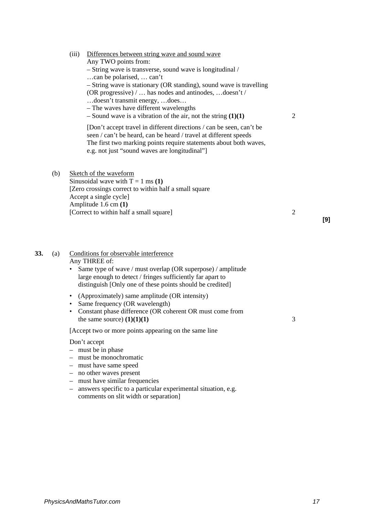# (iii) Differences between string wave and sound wave

Any TWO points from: – String wave is transverse, sound wave is longitudinal / …can be polarised, … can't – String wave is stationary (OR standing), sound wave is travelling (OR progressive) / … has nodes and antinodes, …doesn't / …doesn't transmit energy, …does… – The waves have different wavelengths – Sound wave is a vibration of the air, not the string **(1)(1)** 2 [Don't accept travel in different directions / can be seen, can't be seen / can't be heard, can be heard / travel at different speeds The first two marking points require statements about both waves, e.g. not just "sound waves are longitudinal"]

(b) Sketch of the waveform Sinusoidal wave with  $T = 1$  ms (1) [Zero crossings correct to within half a small square Accept a single cycle] Amplitude 1.6 cm **(1)**  [Correct to within half a small square] 2

#### **33.** (a) Conditions for observable interference Any THREE of:

- Same type of wave / must overlap (OR superpose) / amplitude large enough to detect / fringes sufficiently far apart to distinguish [Only one of these points should be credited]
- (Approximately) same amplitude (OR intensity)
- Same frequency (OR wavelength)
- Constant phase difference (OR coherent OR must come from the same source)  $(1)(1)(1)$  3

[Accept two or more points appearing on the same line

#### Don't accept

- must be in phase
- must be monochromatic
- must have same speed
- no other waves present
- must have similar frequencies
- answers specific to a particular experimental situation, e.g. comments on slit width or separation]

**[9]**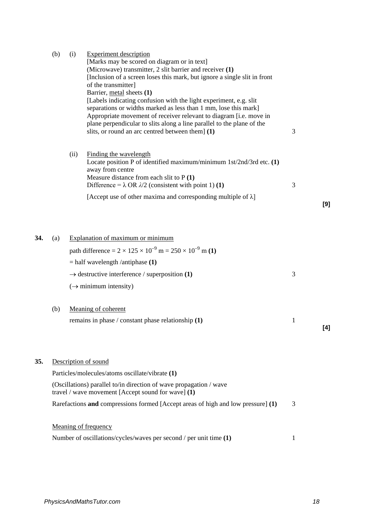|     | (b) | (i)  | <b>Experiment description</b><br>[Marks may be scored on diagram or in text]<br>(Microwave) transmitter, 2 slit barrier and receiver (1)<br>[Inclusion of a screen loses this mark, but ignore a single slit in front<br>of the transmitter]<br>Barrier, metal sheets (1)<br>[Labels indicating confusion with the light experiment, e.g. slit<br>separations or widths marked as less than 1 mm, lose this mark]<br>Appropriate movement of receiver relevant to diagram [i.e. move in<br>plane perpendicular to slits along a line parallel to the plane of the<br>slits, or round an arc centred between them] (1) | 3            |     |
|-----|-----|------|-----------------------------------------------------------------------------------------------------------------------------------------------------------------------------------------------------------------------------------------------------------------------------------------------------------------------------------------------------------------------------------------------------------------------------------------------------------------------------------------------------------------------------------------------------------------------------------------------------------------------|--------------|-----|
|     |     | (ii) | Finding the wavelength<br>Locate position P of identified maximum/minimum $1st/2nd/3rd$ etc. $(1)$<br>away from centre<br>Measure distance from each slit to P (1)<br>Difference = $\lambda$ OR $\lambda/2$ (consistent with point 1) (1)                                                                                                                                                                                                                                                                                                                                                                             | 3            |     |
|     |     |      | [Accept use of other maxima and corresponding multiple of $\lambda$ ]                                                                                                                                                                                                                                                                                                                                                                                                                                                                                                                                                 |              | [9] |
| 34. | (a) |      | Explanation of maximum or minimum<br>path difference = $2 \times 125 \times 10^{-9}$ m = $250 \times 10^{-9}$ m (1)<br>$=$ half wavelength /antiphase (1)<br>$\rightarrow$ destructive interference / superposition (1)<br>$(\rightarrow$ minimum intensity)                                                                                                                                                                                                                                                                                                                                                          | 3            |     |
|     | (b) |      | Meaning of coherent<br>remains in phase / constant phase relationship $(1)$                                                                                                                                                                                                                                                                                                                                                                                                                                                                                                                                           | $\mathbf{1}$ | [4] |
| 35. |     |      | Description of sound<br>Particles/molecules/atoms oscillate/vibrate (1)<br>(Oscillations) parallel to/in direction of wave propagation / wave<br>travel / wave movement [Accept sound for wave] $(1)$<br>Rarefactions and compressions formed [Accept areas of high and low pressure] (1)                                                                                                                                                                                                                                                                                                                             | 3            |     |
|     |     |      | Meaning of frequency<br>Number of oscillations/cycles/waves per second / per unit time (1)                                                                                                                                                                                                                                                                                                                                                                                                                                                                                                                            | $\mathbf{1}$ |     |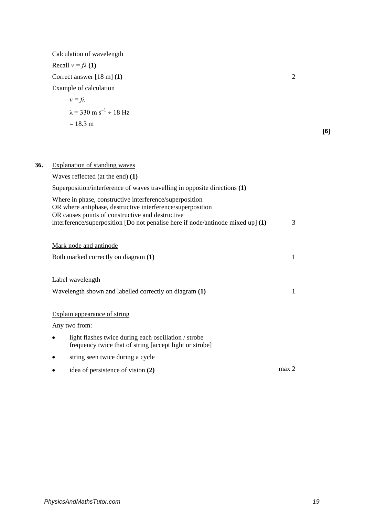|     | Calculation of wavelength                                                                                                           |                |     |
|-----|-------------------------------------------------------------------------------------------------------------------------------------|----------------|-----|
|     | Recall $v = f\lambda(1)$                                                                                                            |                |     |
|     | Correct answer $[18 \text{ m}]$ (1)                                                                                                 | $\overline{2}$ |     |
|     | Example of calculation                                                                                                              |                |     |
|     | $v = f\lambda$                                                                                                                      |                |     |
|     | $\lambda$ = 330 m s <sup>-1</sup> ÷ 18 Hz                                                                                           |                |     |
|     | $= 18.3 \text{ m}$                                                                                                                  |                |     |
|     |                                                                                                                                     |                | [6] |
|     |                                                                                                                                     |                |     |
|     |                                                                                                                                     |                |     |
| 36. | <b>Explanation of standing waves</b>                                                                                                |                |     |
|     | Waves reflected (at the end) $(1)$                                                                                                  |                |     |
|     | Superposition/interference of waves travelling in opposite directions (1)                                                           |                |     |
|     | Where in phase, constructive interference/superposition<br>OR where antiphase, destructive interference/superposition               |                |     |
|     | OR causes points of constructive and destructive<br>interference/superposition [Do not penalise here if node/antinode mixed up] (1) | 3              |     |
|     | Mark node and antinode                                                                                                              |                |     |
|     | Both marked correctly on diagram (1)                                                                                                | $\mathbf{1}$   |     |
|     | Label wavelength                                                                                                                    |                |     |
|     | Wavelength shown and labelled correctly on diagram (1)                                                                              | $\mathbf{1}$   |     |
|     | Explain appearance of string                                                                                                        |                |     |
|     | Any two from:                                                                                                                       |                |     |
|     | light flashes twice during each oscillation / strobe<br>frequency twice that of string [accept light or strobe]                     |                |     |
|     | string seen twice during a cycle                                                                                                    |                |     |
|     | idea of persistence of vision (2)                                                                                                   | max 2          |     |
|     |                                                                                                                                     |                |     |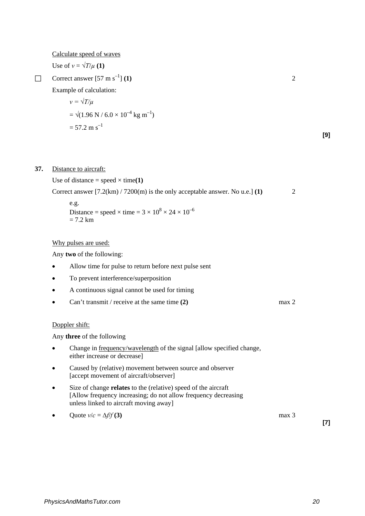Calculate speed of waves

Use of  $v = \sqrt{T/\mu}$  (1)

Correct answer  $[57 \text{ m s}^{-1}]$  **(1)** 2

Example of calculation:

$$
v = \sqrt{T/\mu}
$$
  
=  $\sqrt{(1.96 \text{ N} / 6.0 \times 10^{-4} \text{ kg m}^{-1})}$   
= 57.2 m s<sup>-1</sup>

# **37.** Distance to aircraft:

Use of distance  $=$  speed  $\times$  time(1)

Correct answer [7.2(km) / 7200(m) is the only acceptable answer. No u.e.] **(1)** 2

e.g.  
Distance = speed × time = 
$$
3 \times 10^8 \times 24 \times 10^{-6}
$$
  
= 7.2 km

Why pulses are used:

Any **two** of the following:

- Allow time for pulse to return before next pulse sent
- To prevent interference/superposition
- A continuous signal cannot be used for timing
- Can't transmit / receive at the same time **(2)** max 2

## Doppler shift:

Any **three** of the following

- Change in frequency/wavelength of the signal [allow specified change, either increase or decrease]
- Caused by (relative) movement between source and observer [accept movement of aircraft/observer]
- Size of change **relates** to the (relative) speed of the aircraft [Allow frequency increasing; do not allow frequency decreasing unless linked to aircraft moving away]
- Quote  $v/c = \Delta f/f(3)$  max 3

**[7]**

**[9]**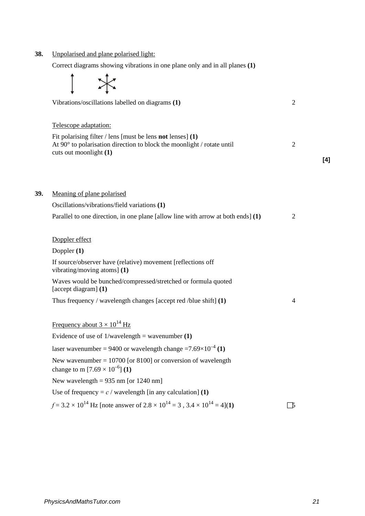| 38. | Unpolarised and plane polarised light:                                                                                                                                            |                |     |
|-----|-----------------------------------------------------------------------------------------------------------------------------------------------------------------------------------|----------------|-----|
|     | Correct diagrams showing vibrations in one plane only and in all planes (1)                                                                                                       |                |     |
|     |                                                                                                                                                                                   |                |     |
|     | Vibrations/oscillations labelled on diagrams (1)                                                                                                                                  | $\overline{2}$ |     |
|     | Telescope adaptation:                                                                                                                                                             |                |     |
|     | Fit polarising filter $\ell$ lens [must be lens <b>not</b> lenses] (1)<br>At $90^\circ$ to polarisation direction to block the moonlight / rotate until<br>cuts out moonlight (1) | $\overline{2}$ | [4] |
|     |                                                                                                                                                                                   |                |     |
| 39. | Meaning of plane polarised                                                                                                                                                        |                |     |
|     | Oscillations/vibrations/field variations (1)                                                                                                                                      |                |     |
|     | Parallel to one direction, in one plane [allow line with arrow at both ends] $(1)$                                                                                                | $\overline{2}$ |     |
|     | Doppler effect                                                                                                                                                                    |                |     |
|     | Doppler $(1)$                                                                                                                                                                     |                |     |
|     | If source/observer have (relative) movement [reflections off<br>vibrating/moving atoms] $(1)$                                                                                     |                |     |
|     | Waves would be bunched/compressed/stretched or formula quoted<br>[accept diagram] (1)                                                                                             |                |     |
|     | Thus frequency / wavelength changes [accept red /blue shift] $(1)$                                                                                                                | 4              |     |
|     | Frequency about $3 \times 10^{14}$ Hz                                                                                                                                             |                |     |
|     | Evidence of use of $1/wavelength = wavenumber(1)$                                                                                                                                 |                |     |
|     | laser wavenumber = 9400 or wavelength change = $7.69 \times 10^{-4}$ (1)                                                                                                          |                |     |
|     | New wavenumber = $10700$ [or 8100] or conversion of wavelength<br>change to m $[7.69 \times 10^{-6}]$ (1)                                                                         |                |     |
|     | New wavelength = $935$ nm [or 1240 nm]                                                                                                                                            |                |     |
|     | Use of frequency = $c /$ wavelength [in any calculation] (1)                                                                                                                      |                |     |
|     | $f = 3.2 \times 10^{14}$ Hz [note answer of $2.8 \times 10^{14} = 3$ , $3.4 \times 10^{14} = 4$ ](1)                                                                              | $\mathcal{D}$  |     |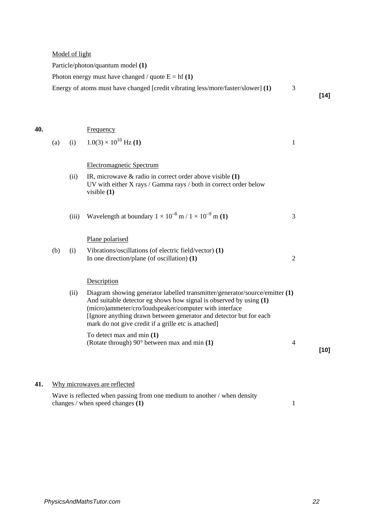Model of light

Particle/photon/quantum model **(1)** 

Photon energy must have changed / quote  $E = hf(1)$ 

Energy of atoms must have changed [credit vibrating less/more/faster/slower] **(1)** 3

**40.** Frequency (a) (i)  $1.0(3) \times 10^{10}$  Hz (1) 1 Electromagnetic Spectrum (ii) IR, microwave & radio in correct order above visible **(1)** UV with either X rays / Gamma rays / both in correct order below visible **(1)**  (iii) Wavelength at boundary  $1 \times 10^{-8}$  m  $/ 1 \times 10^{-9}$  m **(1)** 3 Plane polarised (b) (i) Vibrations/oscillations (of electric field/vector) **(1)** In one direction/plane (of oscillation) **(1)** 2 **Description** (ii) Diagram showing generator labelled transmitter/generator/source/emitter **(1)** And suitable detector eg shows how signal is observed by using **(1)** (micro)ammeter/cro/loudspeaker/computer with interface [Ignore anything drawn between generator and detector but for each mark do not give credit if a grille etc is attached] To detect max and min **(1)** (Rotate through) 90° between max and min **(1)** 4 **[10]**

**41.** Why microwaves are reflected

Wave is reflected when passing from one medium to another / when density changes / when speed changes **(1)** 1 **[14]**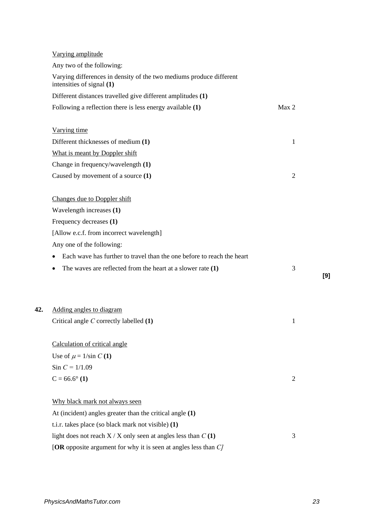|     | Varying amplitude                                                                                |                |     |
|-----|--------------------------------------------------------------------------------------------------|----------------|-----|
|     | Any two of the following:                                                                        |                |     |
|     | Varying differences in density of the two mediums produce different<br>intensities of signal (1) |                |     |
|     | Different distances travelled give different amplitudes (1)                                      |                |     |
|     | Following a reflection there is less energy available (1)                                        | Max 2          |     |
|     | Varying time                                                                                     |                |     |
|     | Different thicknesses of medium (1)                                                              | $\mathbf{1}$   |     |
|     | What is meant by Doppler shift                                                                   |                |     |
|     | Change in frequency/wavelength (1)                                                               |                |     |
|     | Caused by movement of a source (1)                                                               | $\overline{2}$ |     |
|     | Changes due to Doppler shift                                                                     |                |     |
|     | Wavelength increases (1)                                                                         |                |     |
|     | Frequency decreases (1)                                                                          |                |     |
|     | [Allow e.c.f. from incorrect wavelength]                                                         |                |     |
|     | Any one of the following:                                                                        |                |     |
|     | Each wave has further to travel than the one before to reach the heart                           |                |     |
|     | The waves are reflected from the heart at a slower rate $(1)$                                    | 3              |     |
|     |                                                                                                  |                | [9] |
| 42. | Adding angles to diagram                                                                         |                |     |
|     | Critical angle $C$ correctly labelled $(1)$                                                      | 1              |     |
|     |                                                                                                  |                |     |
|     | Calculation of critical angle                                                                    |                |     |
|     | Use of $\mu = 1/\sin C$ (1)                                                                      |                |     |
|     | Sin $C = 1/1.09$                                                                                 |                |     |
|     | $C = 66.6^{\circ}$ (1)                                                                           | $\overline{2}$ |     |
|     | Why black mark not always seen                                                                   |                |     |
|     | At (incident) angles greater than the critical angle (1)                                         |                |     |
|     | t.i.r. takes place (so black mark not visible) (1)                                               |                |     |
|     | light does not reach $X / X$ only seen at angles less than $C(1)$                                | 3              |     |
|     | [OR opposite argument for why it is seen at angles less than $C$ ]                               |                |     |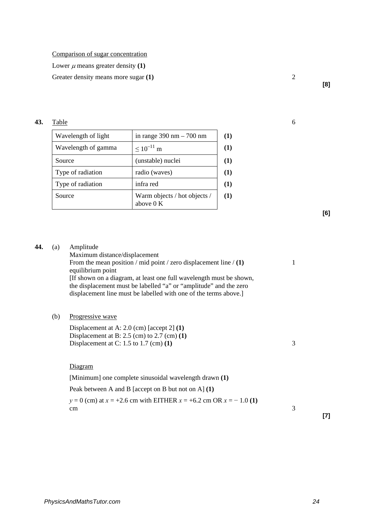Comparison of sugar concentration

Lower  $\mu$  means greater density (1)

Greater density means more sugar (1) **2** 

**43.** Table 6

| Wavelength of light | in range $390 \text{ nm} - 700 \text{ nm}$  |
|---------------------|---------------------------------------------|
| Wavelength of gamma | $\leq 10^{-11}$ m                           |
| Source              | (unstable) nuclei                           |
| Type of radiation   | radio (waves)                               |
| Type of radiation   | infra red                                   |
| Source              | Warm objects / hot objects /<br>above $0 K$ |

**[6]**

**[8]**

| 44. | (a) | Amplitude                                                                              |   |
|-----|-----|----------------------------------------------------------------------------------------|---|
|     |     | Maximum distance/displacement                                                          |   |
|     |     | From the mean position / mid point / zero displacement line / (1)<br>equilibrium point | 1 |
|     |     | [If shown on a diagram, at least one full wavelength must be shown,                    |   |
|     |     | the displacement must be labelled "a" or "amplitude" and the zero                      |   |
|     |     | displacement line must be labelled with one of the terms above.]                       |   |
|     |     |                                                                                        |   |
|     | (b) | Progressive wave                                                                       |   |
|     |     |                                                                                        |   |
|     |     | Displacement at A: $2.0$ (cm) [accept 2] (1)                                           |   |
|     |     | Displacement at B: $2.5$ (cm) to $2.7$ (cm) $(1)$                                      |   |
|     |     | Displacement at C: 1.5 to 1.7 (cm) $(1)$                                               | 3 |
|     |     |                                                                                        |   |
|     |     | Diagram                                                                                |   |
|     |     | [Minimum] one complete sinusoidal wavelength drawn (1)                                 |   |
|     |     | Peak between A and B [accept on B but not on A] $(1)$                                  |   |
|     |     | $y = 0$ (cm) at $x = +2.6$ cm with EITHER $x = +6.2$ cm OR $x = -1.0$ (1)              |   |
|     |     | cm                                                                                     | 3 |

**[7]**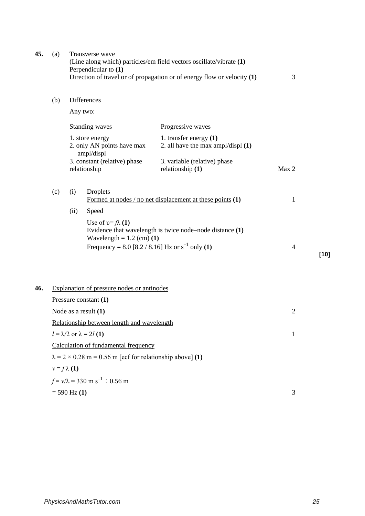| 45. | (a)                                                              |                    | Transverse wave<br>Perpendicular to (1)                     | (Line along which) particles/em field vectors oscillate/vibrate (1)<br>Direction of travel or of propagation or of energy flow or velocity $(1)$ | 3              |        |
|-----|------------------------------------------------------------------|--------------------|-------------------------------------------------------------|--------------------------------------------------------------------------------------------------------------------------------------------------|----------------|--------|
|     | (b)                                                              |                    | <b>Differences</b>                                          |                                                                                                                                                  |                |        |
|     |                                                                  |                    | Any two:                                                    |                                                                                                                                                  |                |        |
|     |                                                                  |                    | Standing waves                                              | Progressive waves                                                                                                                                |                |        |
|     |                                                                  |                    | 1. store energy<br>2. only AN points have max<br>ampl/displ | 1. transfer energy $(1)$<br>2. all have the max ampl/displ $(1)$                                                                                 |                |        |
|     |                                                                  |                    | 3. constant (relative) phase<br>relationship                | 3. variable (relative) phase<br>relationship (1)                                                                                                 | Max 2          |        |
|     | (c)                                                              | (i)                | <b>Droplets</b>                                             | Formed at nodes / no net displacement at these points $(1)$                                                                                      | $\mathbf{1}$   |        |
|     |                                                                  | (ii)               | Speed                                                       |                                                                                                                                                  |                |        |
|     |                                                                  |                    | Use of $v = f\lambda(1)$<br>Wavelength = $1.2$ (cm) (1)     | Evidence that wavelength is twice node–node distance (1)                                                                                         |                |        |
|     |                                                                  |                    | Frequency = 8.0 [8.2 / 8.16] Hz or $s^{-1}$ only (1)        |                                                                                                                                                  | $\overline{4}$ | $[10]$ |
| 46. |                                                                  |                    | Explanation of pressure nodes or antinodes                  |                                                                                                                                                  |                |        |
|     |                                                                  |                    | Pressure constant (1)                                       |                                                                                                                                                  |                |        |
|     | Node as a result $(1)$                                           |                    |                                                             |                                                                                                                                                  | $\sqrt{2}$     |        |
|     | Relationship between length and wavelength                       |                    |                                                             |                                                                                                                                                  |                |        |
|     | $l = \lambda/2$ or $\lambda = 2l(1)$                             |                    |                                                             | 1                                                                                                                                                |                |        |
|     | Calculation of fundamental frequency                             |                    |                                                             |                                                                                                                                                  |                |        |
|     | $\lambda$ = 2 × 0.28 m = 0.56 m [ecf for relationship above] (1) |                    |                                                             |                                                                                                                                                  |                |        |
|     |                                                                  | $v = f \lambda(1)$ |                                                             |                                                                                                                                                  |                |        |
|     |                                                                  |                    | $f = v/\lambda = 330$ m s <sup>-1</sup> ÷ 0.56 m            |                                                                                                                                                  |                |        |
|     |                                                                  | $= 590$ Hz $(1)$   |                                                             |                                                                                                                                                  | 3              |        |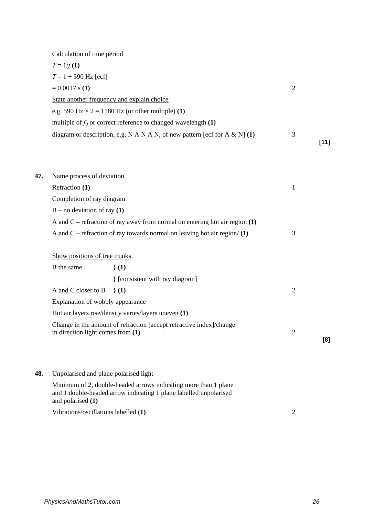| Calculation of time period                                                 |   |      |
|----------------------------------------------------------------------------|---|------|
| $T = 1/f(1)$                                                               |   |      |
| $T = 1 \div 590$ Hz [ecf]                                                  |   |      |
| $= 0.0017$ s (1)                                                           | 2 |      |
| State another frequency and explain choice                                 |   |      |
| e.g. 590 Hz $\times$ 2 = 1180 Hz (or other multiple) (1)                   |   |      |
| multiple of $f_0$ or correct reference to changed wavelength (1)           |   |      |
| diagram or description, e.g. N A N A N, of new pattern [ecf for A & N] (1) | 3 |      |
|                                                                            |   | [11] |

| 47. | Name process of deviation                                                     |   |
|-----|-------------------------------------------------------------------------------|---|
|     | Refraction (1)                                                                |   |
|     | Completion of ray diagram                                                     |   |
|     | $B$ – no deviation of ray (1)                                                 |   |
|     | A and C – refraction of ray away from normal on entering hot air region $(1)$ |   |
|     | A and C – refraction of ray towards normal on leaving hot air region/ $(1)$   | 3 |

| Show positions of tree trunks |  |  |
|-------------------------------|--|--|
|                               |  |  |

| B the same                          | (1)                                                                 |   |     |
|-------------------------------------|---------------------------------------------------------------------|---|-----|
|                                     | [consistent with ray diagram]                                       |   |     |
| A and C closer to B $\{1\}$         |                                                                     |   |     |
| Explanation of wobbly appearance    |                                                                     |   |     |
|                                     | Hot air layers rise/density varies/layers uneven (1)                |   |     |
| in direction light comes from $(1)$ | Change in the amount of refraction [accept refractive index]/change | 2 |     |
|                                     |                                                                     |   | [8] |

**48.** Unpolarised and plane polarised light

Minimum of 2, double-headed arrows indicating more than 1 plane and 1 double-headed arrow indicating 1 plane labelled unpolarised and polarised **(1)**

Vibrations/oscillations labelled **(1)** 2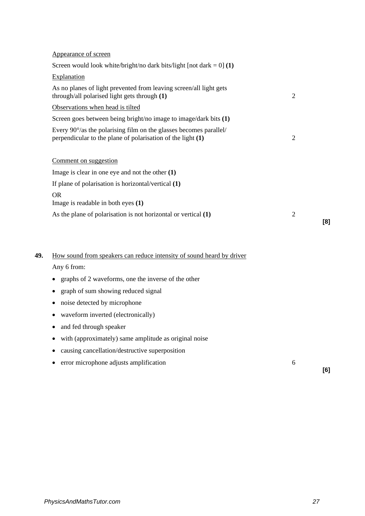|             | Appearance of screen                                                                                                               |                |     |
|-------------|------------------------------------------------------------------------------------------------------------------------------------|----------------|-----|
|             | Screen would look white/bright/no dark bits/light [not dark = $0$ ] (1)                                                            |                |     |
| Explanation |                                                                                                                                    |                |     |
|             | As no planes of light prevented from leaving screen/all light gets<br>through/all polarised light gets through (1)                 | $\overline{2}$ |     |
|             | Observations when head is tilted                                                                                                   |                |     |
|             | Screen goes between being bright/no image to image/dark bits (1)                                                                   |                |     |
|             | Every 90°/as the polarising film on the glasses becomes parallel/<br>perpendicular to the plane of polarisation of the light $(1)$ | $\overline{2}$ |     |
|             | Comment on suggestion                                                                                                              |                |     |
|             | Image is clear in one eye and not the other $(1)$                                                                                  |                |     |
|             | If plane of polarisation is horizontal/vertical $(1)$                                                                              |                |     |
| <b>OR</b>   | Image is readable in both eyes (1)                                                                                                 |                |     |
|             | As the plane of polarisation is not horizontal or vertical $(1)$                                                                   | $\overline{2}$ | [8] |
|             | How sound from speakers can reduce intensity of sound heard by driver                                                              |                |     |
| Any 6 from: |                                                                                                                                    |                |     |
| ٠           | graphs of 2 waveforms, one the inverse of the other                                                                                |                |     |
| ٠           | graph of sum showing reduced signal                                                                                                |                |     |
| ٠           | noise detected by microphone                                                                                                       |                |     |
|             | waveform inverted (electronically)                                                                                                 |                |     |
| ٠           | and fed through speaker                                                                                                            |                |     |
|             | with (approximately) same amplitude as original noise                                                                              |                |     |
|             | causing cancellation/destructive superposition                                                                                     |                |     |

• error microphone adjusts amplification 6

**[6]**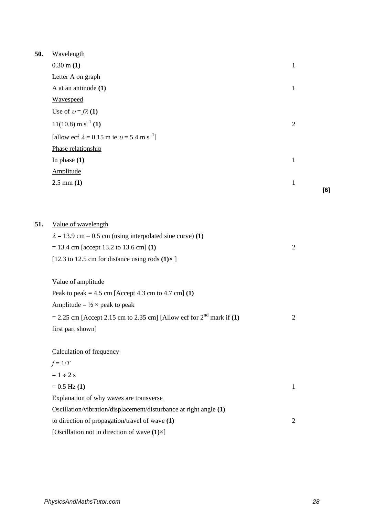| 50. | Wavelength                                                               |                |     |
|-----|--------------------------------------------------------------------------|----------------|-----|
|     | $0.30 \text{ m} (1)$                                                     | $\mathbf{1}$   |     |
|     | Letter A on graph                                                        |                |     |
|     | A at an antinode $(1)$                                                   | $\mathbf{1}$   |     |
|     | Wavespeed                                                                |                |     |
|     | Use of $v = f\lambda(1)$                                                 |                |     |
|     | $11(10.8)$ m s <sup>-1</sup> (1)                                         | $\mathfrak{2}$ |     |
|     | [allow ecf $\lambda = 0.15$ m ie $v = 5.4$ m s <sup>-1</sup> ]           |                |     |
|     | Phase relationship                                                       |                |     |
|     | In phase $(1)$                                                           | $\mathbf{1}$   |     |
|     | Amplitude                                                                |                |     |
|     | $2.5 \text{ mm} (1)$                                                     | $\mathbf{1}$   |     |
|     |                                                                          |                | [6] |
|     |                                                                          |                |     |
| 51. | Value of wavelength                                                      |                |     |
|     | $\lambda = 13.9$ cm – 0.5 cm (using interpolated sine curve) (1)         |                |     |
|     | $= 13.4$ cm [accept 13.2 to 13.6 cm] (1)                                 | $\mathfrak{2}$ |     |
|     | [12.3 to 12.5 cm for distance using rods $(1) \times$ ]                  |                |     |
|     | Value of amplitude                                                       |                |     |
|     | Peak to peak = $4.5$ cm [Accept $4.3$ cm to $4.7$ cm] (1)                |                |     |
|     | Amplitude = $\frac{1}{2} \times$ peak to peak                            |                |     |
|     | $= 2.25$ cm [Accept 2.15 cm to 2.35 cm] [Allow ecf for $2nd$ mark if (1) | $\mathfrak{2}$ |     |
|     | first part shown]                                                        |                |     |
|     | <b>Calculation of frequency</b>                                          |                |     |
|     | $f = 1/T$                                                                |                |     |
|     | $= 1 \div 2$ s                                                           |                |     |
|     | $= 0.5$ Hz (1)                                                           | $\mathbf{1}$   |     |
|     | Explanation of why waves are transverse                                  |                |     |
|     | Oscillation/vibration/displacement/disturbance at right angle (1)        |                |     |
|     | to direction of propagation/travel of wave (1)                           | $\overline{2}$ |     |
|     | [Oscillation not in direction of wave $(1) \times$ ]                     |                |     |
|     |                                                                          |                |     |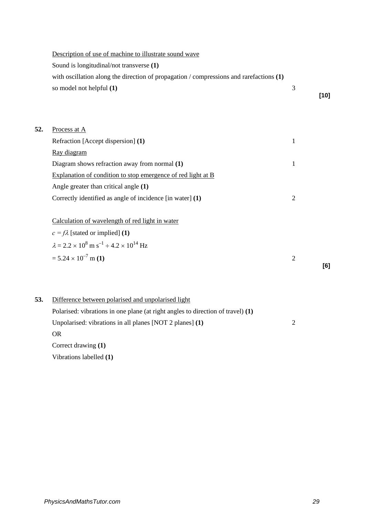|     | Description of use of machine to illustrate sound wave                                    |                |        |
|-----|-------------------------------------------------------------------------------------------|----------------|--------|
|     | Sound is longitudinal/not transverse (1)                                                  |                |        |
|     | with oscillation along the direction of propagation / compressions and rarefactions $(1)$ |                |        |
|     | so model not helpful (1)                                                                  | 3              |        |
|     |                                                                                           |                | $[10]$ |
|     |                                                                                           |                |        |
| 52. | Process at A                                                                              |                |        |
|     | Refraction [Accept dispersion] (1)                                                        | $\mathbf{1}$   |        |
|     | Ray diagram                                                                               |                |        |
|     | Diagram shows refraction away from normal (1)                                             | $\mathbf{1}$   |        |
|     | Explanation of condition to stop emergence of red light at B                              |                |        |
|     | Angle greater than critical angle (1)                                                     |                |        |
|     | Correctly identified as angle of incidence [in water] (1)                                 | $\sqrt{2}$     |        |
|     |                                                                                           |                |        |
|     | Calculation of wavelength of red light in water                                           |                |        |
|     | $c = f\lambda$ [stated or implied] (1)                                                    |                |        |
|     | $\lambda = 2.2 \times 10^8 \text{ m s}^{-1} \div 4.2 \times 10^{14} \text{ Hz}$           |                |        |
|     | $= 5.24 \times 10^{-7}$ m (1)                                                             | $\overline{2}$ |        |
|     |                                                                                           |                | [6]    |
|     |                                                                                           |                |        |
| 53. | Difference between polarised and unpolarised light                                        |                |        |
|     | Polarised: vibrations in one plane (at right angles to direction of travel) (1)           |                |        |
|     | Unpolarised: vibrations in all planes [NOT 2 planes] (1)                                  | $\overline{2}$ |        |
|     | <b>OR</b>                                                                                 |                |        |
|     | Correct drawing (1)                                                                       |                |        |
|     |                                                                                           |                |        |

Vibrations labelled **(1)**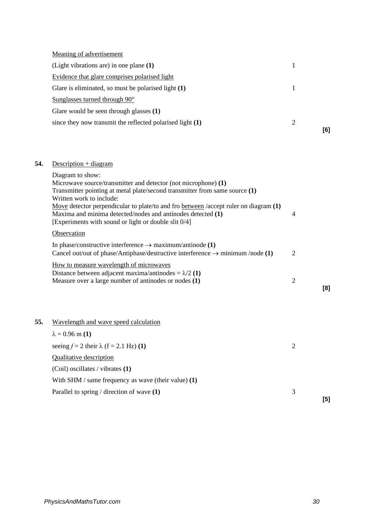| Meaning of advertisement                                  |   |     |
|-----------------------------------------------------------|---|-----|
| (Light vibrations are) in one plane $(1)$                 |   |     |
| Evidence that glare comprises polarised light             |   |     |
| Glare is eliminated, so must be polarised light (1)       |   |     |
| Sunglasses turned through $90^\circ$                      |   |     |
| Glare would be seen through glasses (1)                   |   |     |
| since they now transmit the reflected polarised light (1) | 2 | [6] |
|                                                           |   |     |

# **54.** Description + diagram

|     | Diagram to show:<br>Microwave source/transmitter and detector (not microphone) (1)<br>Transmitter pointing at metal plate/second transmitter from same source (1)<br>Written work to include:<br>Move detector perpendicular to plate/to and fro between /accept ruler on diagram (1)<br>Maxima and minima detected/nodes and antinodes detected (1)<br>[Experiments with sound or light or double slit 0/4] | $\overline{4}$ |     |
|-----|--------------------------------------------------------------------------------------------------------------------------------------------------------------------------------------------------------------------------------------------------------------------------------------------------------------------------------------------------------------------------------------------------------------|----------------|-----|
|     | Observation                                                                                                                                                                                                                                                                                                                                                                                                  |                |     |
|     | In phase/constructive interference $\rightarrow$ maximum/antinode (1)<br>Cancel out/out of phase/Antiphase/destructive interference $\rightarrow$ minimum /node (1)                                                                                                                                                                                                                                          | $\overline{2}$ |     |
|     | How to measure wavelength of microwaves<br>Distance between adjacent maxima/antinodes = $\lambda/2$ (1)<br>Measure over a large number of antinodes or nodes (1)                                                                                                                                                                                                                                             | $\overline{2}$ | [8] |
| 55. | Wavelength and wave speed calculation                                                                                                                                                                                                                                                                                                                                                                        |                |     |
|     | $\lambda = 0.96$ m (1)                                                                                                                                                                                                                                                                                                                                                                                       |                |     |
|     | seeing $f = 2$ their $\lambda$ (f = 2.1 Hz) (1)                                                                                                                                                                                                                                                                                                                                                              | $\overline{2}$ |     |
|     | <b>Qualitative description</b>                                                                                                                                                                                                                                                                                                                                                                               |                |     |
|     | (Coil) oscillates / vibrates (1)                                                                                                                                                                                                                                                                                                                                                                             |                |     |
|     | With SHM / same frequency as wave (their value) $(1)$                                                                                                                                                                                                                                                                                                                                                        |                |     |
|     | Parallel to spring / direction of wave $(1)$                                                                                                                                                                                                                                                                                                                                                                 | 3              | [5] |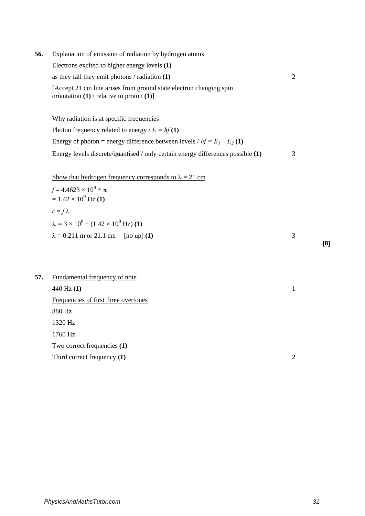- **56.** Explanation of emission of radiation by hydrogen atoms Electrons excited to higher energy levels **(1)** as they fall they emit photons / radiation **(1)** 2 [Accept 21 cm line arises from ground state electron changing spin orientation **(1)** / relative to proton **(1)**] Why radiation is at specific frequencies Photon frequency related to energy  $/E = hf(1)$ Energy of photon = energy difference between levels  $/hf = E_1 - E_2(1)$ Energy levels discrete/quantised / only certain energy differences possible **(1)** 3 Show that hydrogen frequency corresponds to  $\lambda = 21$  cm  $f = 4.4623 \times 10^9 \div \pi$  $= 1.42 \times 10^9$  Hz **(1)**  $c = f \lambda$  $\lambda = 3 \times 10^8 \div (1.42 \times 10^9 \text{ Hz})$  (1)  $\lambda = 0.211$  m or 21.1 cm [no up] **(1)** 3
- **57.** Fundamental frequency of note 440 Hz **(1)** 1 Frequencies of first three overtones 880 Hz 1320 Hz 1760 Hz Two correct frequencies **(1)** Third correct frequency **(1)** 2

**[8]**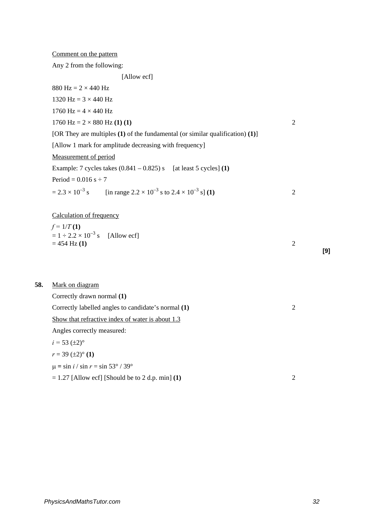| Comment on the pattern |  |
|------------------------|--|
|                        |  |

Any 2 from the following:

[Allow ecf]

|     | 880 Hz = $2 \times 440$ Hz                                                                                    |                |
|-----|---------------------------------------------------------------------------------------------------------------|----------------|
|     | 1320 Hz = $3 \times 440$ Hz                                                                                   |                |
|     | 1760 Hz = $4 \times 440$ Hz                                                                                   |                |
|     | 1760 Hz = $2 \times 880$ Hz (1) (1)                                                                           | $\overline{2}$ |
|     | [OR They are multiples $(1)$ of the fundamental (or similar qualification) $(1)$ ]                            |                |
|     | [Allow 1 mark for amplitude decreasing with frequency]                                                        |                |
|     | Measurement of period                                                                                         |                |
|     | Example: 7 cycles takes $(0.841 - 0.825)$ s [at least 5 cycles] (1)                                           |                |
|     | Period = $0.016$ s ÷ 7                                                                                        |                |
|     | $= 2.3 \times 10^{-3}$ s<br>[in range 2.2 $\times$ 10 <sup>-3</sup> s to 2.4 $\times$ 10 <sup>-3</sup> s] (1) | $\overline{2}$ |
|     |                                                                                                               |                |
|     | <b>Calculation of frequency</b>                                                                               |                |
|     | $f = 1/T(1)$                                                                                                  |                |
|     | $= 1 \div 2.2 \times 10^{-3}$ s [Allow ecf]                                                                   |                |
|     | $= 454$ Hz (1)                                                                                                | 2              |
|     |                                                                                                               |                |
|     |                                                                                                               |                |
| 58. | Mark on diagram                                                                                               |                |
|     | Correctly drawn normal (1)                                                                                    |                |
|     | Correctly labelled angles to candidate's normal (1)                                                           | $\overline{2}$ |
|     | Show that refractive index of water is about 1.3                                                              |                |
|     | Angles correctly measured:                                                                                    |                |
|     | $i = 53 \ (\pm 2)^{\circ}$                                                                                    |                |
|     |                                                                                                               |                |

$$
r = 39 \ (\pm 2)^{\circ} \ (1)
$$

58.

$$
\mu = \sin i / \sin r = \sin 53^\circ / 39^\circ
$$

$$
= 1.27
$$
 [Allow ecf] [Should be to 2 d.p. min] (1)

**[9]**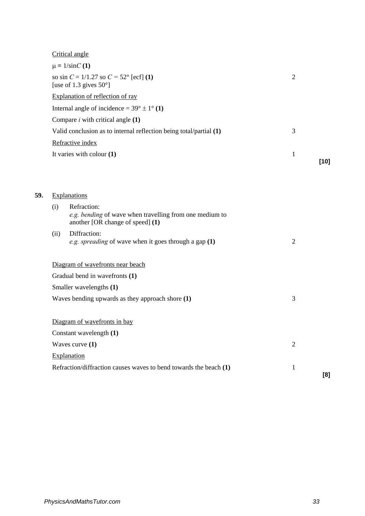|     |      | Critical angle                                                                                             |                |        |
|-----|------|------------------------------------------------------------------------------------------------------------|----------------|--------|
|     |      | $\mu = 1/\text{sin}C(1)$                                                                                   |                |        |
|     |      | so sin $C = 1/1.27$ so $C = 52^{\circ}$ [ecf] (1)<br>[use of 1.3 gives $50^{\circ}$ ]                      | $\overline{2}$ |        |
|     |      | Explanation of reflection of ray                                                                           |                |        |
|     |      | Internal angle of incidence = $39^{\circ} \pm 1^{\circ}$ (1)                                               |                |        |
|     |      | Compare $i$ with critical angle $(1)$                                                                      |                |        |
|     |      | Valid conclusion as to internal reflection being total/partial (1)                                         | 3              |        |
|     |      | Refractive index                                                                                           |                |        |
|     |      | It varies with colour $(1)$                                                                                | $\mathbf{1}$   |        |
|     |      |                                                                                                            |                | $[10]$ |
|     |      |                                                                                                            |                |        |
| 59. |      | Explanations                                                                                               |                |        |
|     | (i)  | Refraction:<br>e.g. bending of wave when travelling from one medium to<br>another [OR change of speed] (1) |                |        |
|     | (ii) | Diffraction:<br>e.g. spreading of wave when it goes through a gap $(1)$                                    | $\overline{2}$ |        |
|     |      | Diagram of wavefronts near beach                                                                           |                |        |
|     |      | Gradual bend in wavefronts (1)                                                                             |                |        |
|     |      | Smaller wavelengths (1)                                                                                    |                |        |
|     |      | Waves bending upwards as they approach shore (1)                                                           | 3              |        |
|     |      | Diagram of wavefronts in bay                                                                               |                |        |
|     |      | Constant wavelength (1)                                                                                    |                |        |
|     |      | Waves curve $(1)$                                                                                          | $\mathfrak{2}$ |        |
|     |      | Explanation                                                                                                |                |        |
|     |      | Refraction/diffraction causes waves to bend towards the beach (1)                                          | $\mathbf{1}$   | [8]    |
|     |      |                                                                                                            |                |        |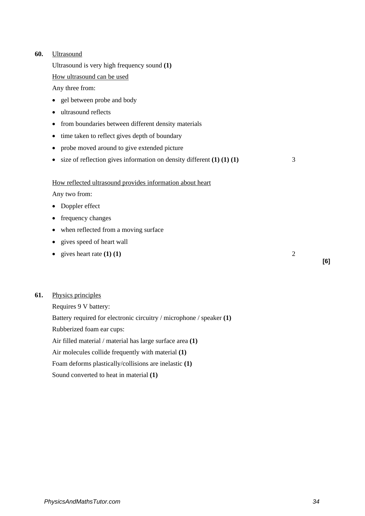# **60.** Ultrasound

Ultrasound is very high frequency sound **(1)** 

How ultrasound can be used

Any three from:

- gel between probe and body
- ultrasound reflects
- from boundaries between different density materials
- time taken to reflect gives depth of boundary
- probe moved around to give extended picture
- size of reflection gives information on density different **(1) (1) (1)** 3

#### How reflected ultrasound provides information about heart

Any two from:

- Doppler effect
- frequency changes
- when reflected from a moving surface
- gives speed of heart wall
- gives heart rate  $(1)$   $(1)$   $(2)$

# **61.** Physics principles

Requires 9 V battery: Battery required for electronic circuitry / microphone / speaker **(1)** Rubberized foam ear cups: Air filled material / material has large surface area **(1)** Air molecules collide frequently with material **(1)** Foam deforms plastically/collisions are inelastic **(1)** Sound converted to heat in material **(1)** 

**[6]**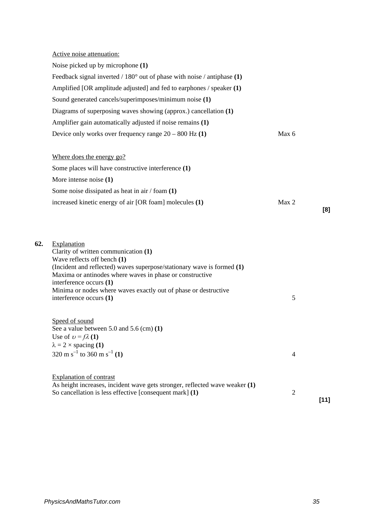|     | Active noise attenuation:                                                                                                                                                                                                                                                                                                                         |                |        |
|-----|---------------------------------------------------------------------------------------------------------------------------------------------------------------------------------------------------------------------------------------------------------------------------------------------------------------------------------------------------|----------------|--------|
|     | Noise picked up by microphone (1)                                                                                                                                                                                                                                                                                                                 |                |        |
|     | Feedback signal inverted / $180^{\circ}$ out of phase with noise / antiphase (1)                                                                                                                                                                                                                                                                  |                |        |
|     | Amplified [OR amplitude adjusted] and fed to earphones / speaker (1)                                                                                                                                                                                                                                                                              |                |        |
|     | Sound generated cancels/superimposes/minimum noise (1)                                                                                                                                                                                                                                                                                            |                |        |
|     | Diagrams of superposing waves showing (approx.) cancellation (1)                                                                                                                                                                                                                                                                                  |                |        |
|     | Amplifier gain automatically adjusted if noise remains (1)                                                                                                                                                                                                                                                                                        |                |        |
|     | Device only works over frequency range $20 - 800$ Hz $(1)$                                                                                                                                                                                                                                                                                        | Max 6          |        |
|     | Where does the energy go?                                                                                                                                                                                                                                                                                                                         |                |        |
|     | Some places will have constructive interference (1)                                                                                                                                                                                                                                                                                               |                |        |
|     | More intense noise $(1)$                                                                                                                                                                                                                                                                                                                          |                |        |
|     | Some noise dissipated as heat in air $/$ foam $(1)$                                                                                                                                                                                                                                                                                               |                |        |
|     | increased kinetic energy of air [OR foam] molecules (1)                                                                                                                                                                                                                                                                                           | Max 2          | [8]    |
| 62. | Explanation<br>Clarity of written communication (1)<br>Wave reflects off bench (1)<br>(Incident and reflected) waves superpose/stationary wave is formed (1)<br>Maxima or antinodes where waves in phase or constructive<br>interference occurs (1)<br>Minima or nodes where waves exactly out of phase or destructive<br>interference occurs (1) | 5              |        |
|     | Speed of sound<br>See a value between $5.0$ and $5.6$ (cm) $(1)$<br>Use of $v = f\lambda(1)$<br>$\lambda = 2 \times$ spacing (1)<br>320 m s <sup>-1</sup> to 360 m s <sup>-1</sup> (1)                                                                                                                                                            | $\overline{4}$ |        |
|     | <b>Explanation of contrast</b><br>As height increases, incident wave gets stronger, reflected wave weaker (1)<br>So cancellation is less effective [consequent mark] (1)                                                                                                                                                                          | $\overline{c}$ | $[11]$ |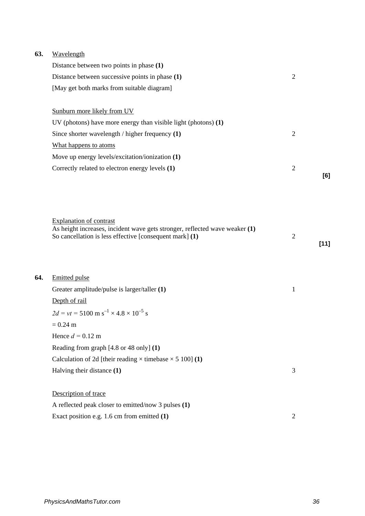| 63. | Wavelength |
|-----|------------|
|     |            |

**64.** 

| Distance between two points in phase (1)                                                                      |                |        |
|---------------------------------------------------------------------------------------------------------------|----------------|--------|
| Distance between successive points in phase (1)                                                               | $\mathfrak{2}$ |        |
| [May get both marks from suitable diagram]                                                                    |                |        |
| Sunburn more likely from UV                                                                                   |                |        |
| UV (photons) have more energy than visible light (photons) $(1)$                                              |                |        |
| Since shorter wavelength $/$ higher frequency $(1)$                                                           | $\mathfrak{2}$ |        |
| What happens to atoms                                                                                         |                |        |
| Move up energy levels/excitation/ionization (1)                                                               |                |        |
| Correctly related to electron energy levels (1)                                                               | $\overline{2}$ |        |
|                                                                                                               |                | [6]    |
|                                                                                                               |                |        |
|                                                                                                               |                |        |
|                                                                                                               |                |        |
| <b>Explanation of contrast</b><br>As height increases, incident wave gets stronger, reflected wave weaker (1) |                |        |
| So cancellation is less effective [consequent mark] (1)                                                       | $\overline{2}$ |        |
|                                                                                                               |                | $[11]$ |
|                                                                                                               |                |        |
|                                                                                                               |                |        |
| <b>Emitted pulse</b>                                                                                          |                |        |
| Greater amplitude/pulse is larger/taller (1)                                                                  | $\mathbf{1}$   |        |
| Depth of rail                                                                                                 |                |        |
| $2d = vt = 5100 \text{ m s}^{-1} \times 4.8 \times 10^{-5} \text{ s}$                                         |                |        |
| $= 0.24$ m                                                                                                    |                |        |
| Hence $d = 0.12$ m                                                                                            |                |        |
| Reading from graph [4.8 or 48 only] (1)                                                                       |                |        |
| Calculation of 2d [their reading $\times$ timebase $\times$ 5 100] (1)                                        |                |        |
| Halving their distance (1)                                                                                    | 3              |        |
|                                                                                                               |                |        |
| Description of trace                                                                                          |                |        |
| A reflected peak closer to emitted/now 3 pulses (1)                                                           |                |        |
| Exact position e.g. 1.6 cm from emitted (1)                                                                   | $\overline{2}$ |        |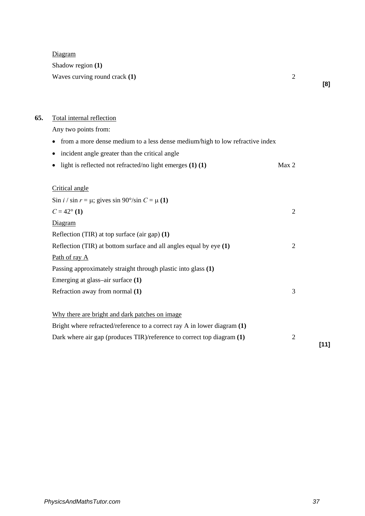Diagram

Shadow region **(1)**

Waves curving round crack **(1)** 2

**[8]**

# **65.** Total internal reflection

Any two points from:

• incident angle greater than the critical angle

|  | • light is reflected not refracted/no light emerges $(1)$ $(1)$ |  | Max 2 |
|--|-----------------------------------------------------------------|--|-------|
|--|-----------------------------------------------------------------|--|-------|

# Critical angle

| Sin <i>i</i> / sin $r = \mu$ ; gives sin 90°/sin $C = \mu(1)$            |                |
|--------------------------------------------------------------------------|----------------|
| $C = 42^{\circ}$ (1)                                                     | $\overline{2}$ |
| Diagram                                                                  |                |
| Reflection (TIR) at top surface (air gap) $(1)$                          |                |
| Reflection (TIR) at bottom surface and all angles equal by $eye(1)$      | $\overline{2}$ |
| Path of ray A                                                            |                |
| Passing approximately straight through plastic into glass (1)            |                |
| Emerging at glass-air surface $(1)$                                      |                |
| Refraction away from normal (1)                                          | 3              |
|                                                                          |                |
| Why there are bright and dark patches on image.                          |                |
| Bright where refracted/reference to a correct ray A in lower diagram (1) |                |
| Dark where air gap (produces TIR)/reference to correct top diagram (1)   | $\overline{2}$ |

**[11]**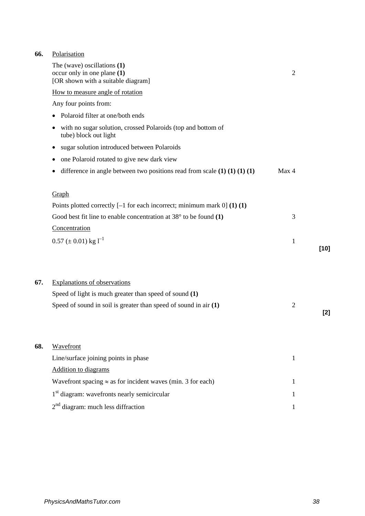# **66.** Polarisation

|     | The (wave) oscillations $(1)$<br>occur only in one plane (1)<br>[OR shown with a suitable diagram] | $\overline{2}$ |        |
|-----|----------------------------------------------------------------------------------------------------|----------------|--------|
|     | How to measure angle of rotation                                                                   |                |        |
|     | Any four points from:                                                                              |                |        |
|     | Polaroid filter at one/both ends                                                                   |                |        |
|     | with no sugar solution, crossed Polaroids (top and bottom of<br>tube) block out light              |                |        |
|     | sugar solution introduced between Polaroids<br>٠                                                   |                |        |
|     | one Polaroid rotated to give new dark view                                                         |                |        |
|     | difference in angle between two positions read from scale $(1) (1) (1) (1)$                        | Max 4          |        |
|     | Graph                                                                                              |                |        |
|     | Points plotted correctly $[-1$ for each incorrect; minimum mark $[0]$ (1) (1)                      |                |        |
|     | Good best fit line to enable concentration at $38^{\circ}$ to be found (1)                         | 3              |        |
|     | Concentration                                                                                      |                |        |
|     | $0.57 \ (\pm 0.01) \text{ kg } 1^{-1}$                                                             | $\mathbf{1}$   | $[10]$ |
|     |                                                                                                    |                |        |
| 67. | <b>Explanations of observations</b>                                                                |                |        |
|     | Speed of light is much greater than speed of sound (1)                                             |                |        |
|     | Speed of sound in soil is greater than speed of sound in air $(1)$                                 | $\overline{2}$ | $[2]$  |
| 68. | Wavefront                                                                                          |                |        |
|     | Line/surface joining points in phase                                                               | $\mathbf{1}$   |        |
|     | Addition to diagrams                                                                               |                |        |
|     | Wavefront spacing $\approx$ as for incident waves (min. 3 for each)                                | 1              |        |
|     | 1 <sup>st</sup> diagram: wavefronts nearly semicircular                                            | 1              |        |
|     | $2nd$ diagram: much less diffraction                                                               | 1              |        |
|     |                                                                                                    |                |        |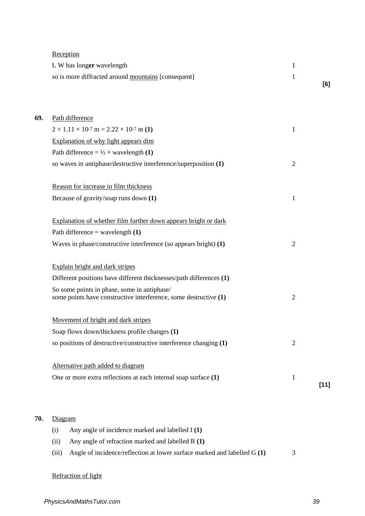| Reception |
|-----------|
|           |

| L W has longer wavelength                           |  |
|-----------------------------------------------------|--|
| so is more diffracted around mountains [consequent] |  |
|                                                     |  |

| Path difference                                                                                                 |                |        |
|-----------------------------------------------------------------------------------------------------------------|----------------|--------|
| $2 \times 1.11 \times 10^{-7}$ m = 2.22 $\times 10^{-7}$ m (1)                                                  | 1              |        |
| Explanation of why light appears dim                                                                            |                |        |
| Path difference = $\frac{1}{2} \times$ wavelength (1)                                                           |                |        |
| so waves in antiphase/destructive interference/superposition (1)                                                | $\overline{2}$ |        |
| Reason for increase in film thickness                                                                           |                |        |
| Because of gravity/soap runs down (1)                                                                           | 1              |        |
| Explanation of whether film further down appears bright or dark                                                 |                |        |
| Path difference = wavelength $(1)$                                                                              |                |        |
| Waves in phase/constructive interference (so appears bright) $(1)$                                              | $\overline{2}$ |        |
| Explain bright and dark stripes                                                                                 |                |        |
| Different positions have different thicknesses/path differences (1)                                             |                |        |
| So some points in phase, some in antiphase/<br>some points have constructive interference, some destructive (1) | $\overline{2}$ |        |
| Movement of bright and dark stripes                                                                             |                |        |
| Soap flows down/thickness profile changes (1)                                                                   |                |        |
| so positions of destructive/constructive interference changing (1)                                              | $\overline{2}$ |        |
| Alternative path added to diagram                                                                               |                |        |
| One or more extra reflections at each internal soap surface (1)                                                 | $\mathbf{1}$   | $[11]$ |

# **70.** Diagram

| (i)  | Any angle of incidence marked and labelled I (1)                                |   |
|------|---------------------------------------------------------------------------------|---|
| (11) | Any angle of refraction marked and labelled R (1)                               |   |
|      | (iii) Angle of incidence/reflection at lower surface marked and labelled $G(1)$ | 3 |

# Refraction of light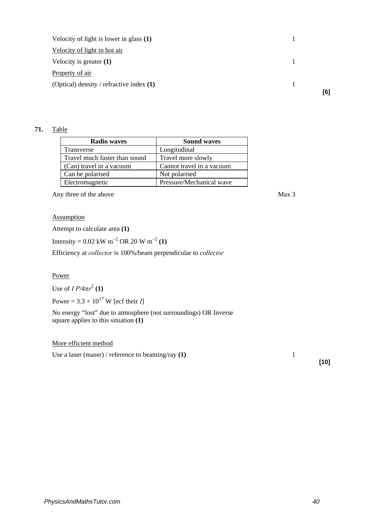| Velocity of light is lower in glass $(1)$  |  |
|--------------------------------------------|--|
| Velocity of light in hot air               |  |
| Velocity is greater $(1)$                  |  |
| Property of air                            |  |
| (Optical) density / refractive index $(1)$ |  |
|                                            |  |

# **71.** Table

| <b>Radio waves</b>            | <b>Sound waves</b>        |
|-------------------------------|---------------------------|
| Transverse                    | Longitudinal              |
| Travel much faster than sound | Travel more slowly        |
| (Can) travel in a vacuum      | Cannot travel in a vacuum |
| Can be polarised              | Not polarised             |
| Electromagnetic               | Pressure/Mechanical wave  |

Any three of the above Max 3

# **Assumption**

Attempt to calculate area **(1)**

Intensity =  $0.02$  kW m<sup>-2</sup> OR 20 W m<sup>-2</sup> (1)

Efficiency at *collector* is 100%/beam perpendicular to *collector*

## Power

Use of  $I P / 4 \pi r^2 (1)$ 

Power =  $3.3 \times 10^{17}$  W [ecf their *I*]

No energy "lost" due to atmosphere (not surroundings) OR Inverse square applies to this situation **(1)**

#### More efficient method

Use a laser (maser) / reference to beaming/ray **(1)** 1

**[10]**

**[6]**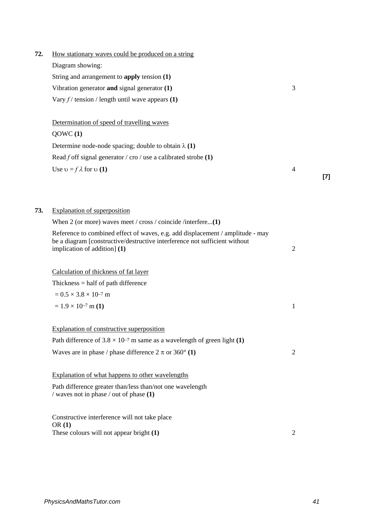| 72. | How stationary waves could be produced on a string                                                                                                                                           |                |       |
|-----|----------------------------------------------------------------------------------------------------------------------------------------------------------------------------------------------|----------------|-------|
|     | Diagram showing:                                                                                                                                                                             |                |       |
|     | String and arrangement to apply tension (1)                                                                                                                                                  |                |       |
|     | Vibration generator and signal generator $(1)$                                                                                                                                               | 3              |       |
|     | Vary $f$ / tension / length until wave appears (1)                                                                                                                                           |                |       |
|     | Determination of speed of travelling waves                                                                                                                                                   |                |       |
|     | QOWC(1)                                                                                                                                                                                      |                |       |
|     | Determine node-node spacing; double to obtain $\lambda(1)$                                                                                                                                   |                |       |
|     | Read f off signal generator / cro / use a calibrated strobe $(1)$                                                                                                                            |                |       |
|     | Use $v = f \lambda$ for $v(1)$                                                                                                                                                               | $\overline{4}$ | $[7]$ |
|     |                                                                                                                                                                                              |                |       |
| 73. | <b>Explanation of superposition</b>                                                                                                                                                          |                |       |
|     | When 2 (or more) waves meet / cross / coincide /interfere(1)                                                                                                                                 |                |       |
|     | Reference to combined effect of waves, e.g. add displacement / amplitude - may<br>be a diagram [constructive/destructive interference not sufficient without<br>implication of addition] (1) | $\overline{2}$ |       |
|     | Calculation of thickness of fat layer                                                                                                                                                        |                |       |
|     | Thickness $=$ half of path difference                                                                                                                                                        |                |       |
|     | $= 0.5 \times 3.8 \times 10^{-7}$ m                                                                                                                                                          |                |       |
|     | $= 1.9 \times 10^{-7}$ m (1)                                                                                                                                                                 | $\mathbf{1}$   |       |
|     | Explanation of constructive superposition                                                                                                                                                    |                |       |
|     | Path difference of $3.8 \times 10^{-7}$ m same as a wavelength of green light (1)                                                                                                            |                |       |
|     | Waves are in phase / phase difference $2 \pi$ or $360^{\circ}$ (1)                                                                                                                           | $\overline{2}$ |       |
|     | Explanation of what happens to other wavelengths                                                                                                                                             |                |       |
|     | Path difference greater than/less than/not one wavelength<br>/ waves not in phase / out of phase (1)                                                                                         |                |       |
|     | Constructive interference will not take place<br>OR(1)                                                                                                                                       |                |       |
|     | These colours will not appear bright (1)                                                                                                                                                     | $\overline{2}$ |       |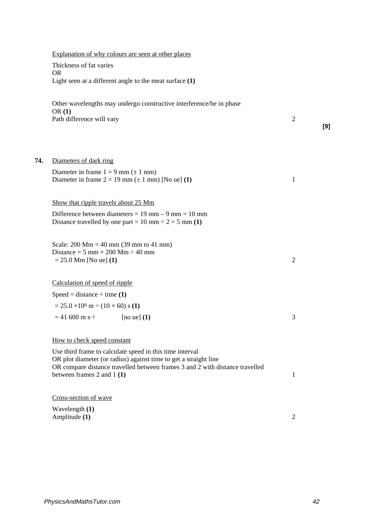| Explanation of why colours are seen at other places                                                                            |                |     |
|--------------------------------------------------------------------------------------------------------------------------------|----------------|-----|
| Thickness of fat varies                                                                                                        |                |     |
| <b>OR</b>                                                                                                                      |                |     |
| Light seen at a different angle to the meat surface $(1)$                                                                      |                |     |
| Other wavelengths may undergo constructive interference/be in phase<br>OR(1)                                                   |                |     |
| Path difference will vary                                                                                                      | $\overline{2}$ | [9] |
|                                                                                                                                |                |     |
| Diameters of dark ring                                                                                                         |                |     |
| Diameter in frame $1 = 9$ mm ( $\pm$ 1 mm)<br>Diameter in frame $2 = 19$ mm ( $\pm 1$ mm) [No ue] (1)                          | 1              |     |
|                                                                                                                                |                |     |
| Show that ripple travels about 25 Mm                                                                                           |                |     |
| Difference between diameters = $19$ mm $- 9$ mm $= 10$ mm<br>Distance travelled by one part = 10 mm $\div$ 2 = 5 mm (1)        |                |     |
| Scale: $200 \text{ Mm} = 40 \text{ mm}$ (39 mm to 41 mm)<br>Distance = $5 \text{ mm} \times 200 \text{ Mm} \div 40 \text{ mm}$ |                |     |
| $= 25.0$ Mm [No ue] (1)                                                                                                        | $\overline{2}$ |     |
| Calculation of speed of ripple                                                                                                 |                |     |
| Speed = distance $\div$ time (1)                                                                                               |                |     |
| $= 25.0 \times 10^6 \text{ m} \div (10 \times 60) \text{ s} (1)$                                                               |                |     |
| $= 41,600$ m s <sup>-1</sup><br>[no ue] $(1)$                                                                                  | 3              |     |
| How to check speed constant                                                                                                    |                |     |
| Use third frame to calculate speed in this time interval<br>OR plot diameter (or radius) against time to get a straight line   |                |     |
| OR compare distance travelled between frames 3 and 2 with distance travelled<br>between frames 2 and 1 $(1)$                   | 1              |     |
| Cross-section of wave                                                                                                          |                |     |
| Wavelength (1)<br>Amplitude (1)                                                                                                | $\overline{2}$ |     |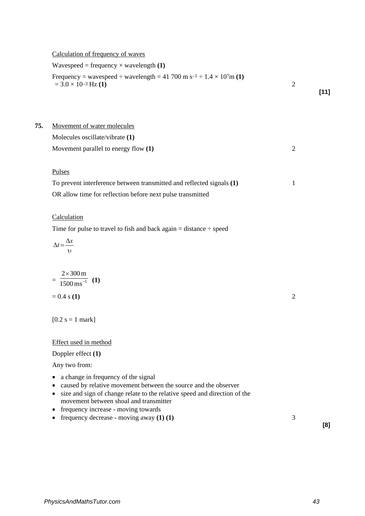Calculation of frequency of waves

Wavespeed = frequency  $\times$  wavelength **(1)** Frequency = wavespeed  $\div$  wavelength = 41 700 m s<sup>-1</sup>  $\div$  1.4  $\times$  107m **(1)**  $= 3.0 \times 10^{-3}$  Hz **(1)**  $\hspace{2cm}$  2 **[11] 75.** Movement of water molecules Molecules oscillate/vibrate **(1)** Movement parallel to energy flow **(1)** 2

#### Pulses

To prevent interference between transmitted and reflected signals **(1)** 1 OR allow time for reflection before next pulse transmitted

# **Calculation**

Time for pulse to travel to fish and back again  $=$  distance  $\div$  speed

$$
\Delta t = \frac{\Delta x}{v}
$$

$$
= \frac{2 \times 300 \,\mathrm{m}}{1500 \,\mathrm{ms}^{-1}} \quad (1)
$$
  
= 0.4 s (**1**)

 $[0.2 \text{ s} = 1 \text{ mark}]$ 

## Effect used in method

Doppler effect **(1)**

Any two from:

- a change in frequency of the signal
- caused by relative movement between the source and the observer
- size and sign of change relate to the relative speed and direction of the movement between shoal and transmitter
- frequency increase moving towards
- frequency decrease moving away **(1) (1)** 3

**[8]**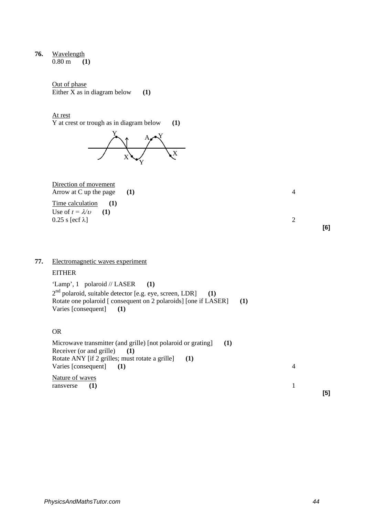**76.** Wavelength 0.80 m **(1)**

> Out of phase Either  $\bar{X}$  as in diagram below (1)

At rest

Y at crest or trough as in diagram below **(1)** 



# Direction of movement Arrow at C up the page (1) 4

Time calculation (1) Use of  $t = \lambda/\nu$  (1)  $0.25$  s [ecf  $\lambda$ ] 2

# **77.** Electromagnetic waves experiment

# **EITHER**

'Lamp', 1 polaroid // LASER (1) 2nd polaroid, suitable detector [e.g. eye, screen, LDR] **(1)** Rotate one polaroid [ consequent on 2 polaroids] [one if LASER] (1) Varies [consequent] **(1)** 

# OR

Microwave transmitter (and grille) [not polaroid or grating] **(1)** Receiver (or and grille) **(1)** Rotate ANY [if 2 grilles; must rotate a grille] **(1)** Varies [consequent] (1) 4 Nature of waves ransverse (1) 1 **[5]**

**[6]**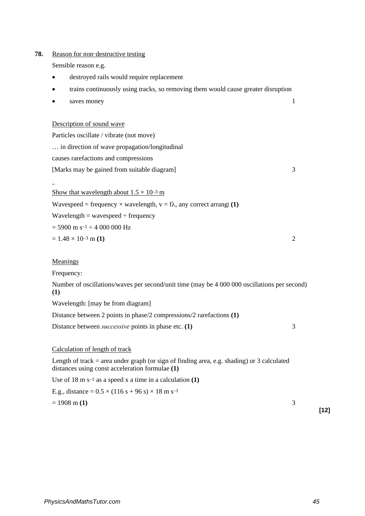## **78.** Reason for non–destructive testing

Sensible reason e.g.

- destroyed rails would require replacement
- trains continuously using tracks, so removing them would cause greater disruption
- saves money 1

#### Description of sound wave

Particles oscillate / vibrate (not move) … in direction of wave propagation/longitudinal causes rarefactions and compressions [Marks may be gained from suitable diagram] 3  $\overline{a}$ 

Show that wavelength about  $1.5 \times 10^{-3}$  m

Wavespeed = frequency  $\times$  wavelength,  $v = f\lambda$ , any correct arrangt (1)

 $Wavelength = wavespeed \div frequency$ 

 $= 5900 \text{ m s}^{-1} \div 4\,000\,000 \text{ Hz}$ 

 $= 1.48 \times 10^{-3}$  m (1)  $\qquad 2$ 

## **Meanings**

Frequency:

Number of oscillations/waves per second/unit time (may be 4 000 000 oscillations per second) **(1)**

Wavelength: [may be from diagram]

Distance between 2 points in phase/2 compressions/2 rarefactions **(1)**

Distance between *successive* points in phase etc. (1) 3

Calculation of length of track

Length of track  $=$  area under graph (or sign of finding area, e.g. shading) or 3 calculated distances using const acceleration formulae **(1)**

Use of 18 m s–1 as a speed x a time in a calculation **(1)**

E.g., distance =  $0.5 \times (116 s + 96 s) \times 18 m s^{-1}$ 

 $= 1908 \text{ m} (1)$  3

**[12]**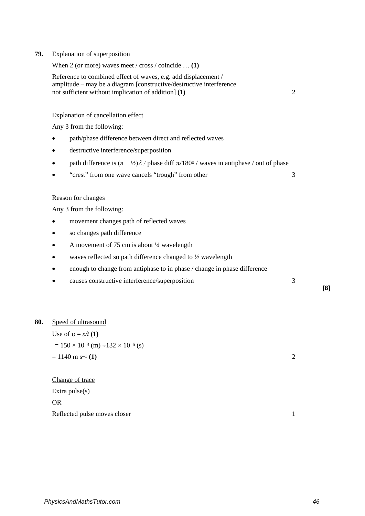|     | When 2 (or more) waves meet / cross / coincide $(1)$                                                                                                                                         |                |     |
|-----|----------------------------------------------------------------------------------------------------------------------------------------------------------------------------------------------|----------------|-----|
|     | Reference to combined effect of waves, e.g. add displacement /<br>amplitude - may be a diagram [constructive/destructive interference<br>not sufficient without implication of addition] (1) | $\mathfrak{2}$ |     |
|     | Explanation of cancellation effect                                                                                                                                                           |                |     |
|     | Any 3 from the following:                                                                                                                                                                    |                |     |
|     | path/phase difference between direct and reflected waves                                                                                                                                     |                |     |
|     | destructive interference/superposition                                                                                                                                                       |                |     |
|     | path difference is $(n + \frac{1}{2})\lambda$ / phase diff $\pi/180^{\circ}$ / waves in antiphase / out of phase                                                                             |                |     |
|     | "crest" from one wave cancels "trough" from other                                                                                                                                            | 3              |     |
|     | Reason for changes                                                                                                                                                                           |                |     |
|     | Any 3 from the following:                                                                                                                                                                    |                |     |
|     | movement changes path of reflected waves                                                                                                                                                     |                |     |
|     | so changes path difference                                                                                                                                                                   |                |     |
|     | A movement of 75 cm is about 1/4 wavelength                                                                                                                                                  |                |     |
|     | waves reflected so path difference changed to 1/2 wavelength                                                                                                                                 |                |     |
|     | enough to change from antiphase to in phase / change in phase difference                                                                                                                     |                |     |
|     | causes constructive interference/superposition                                                                                                                                               | 3              | [8] |
|     |                                                                                                                                                                                              |                |     |
| 80. | Speed of ultrasound                                                                                                                                                                          |                |     |
|     | Use of $v = s/t(1)$                                                                                                                                                                          |                |     |
|     | $= 150 \times 10^{-3}$ (m) $\div 132 \times 10^{-6}$ (s)                                                                                                                                     |                |     |
|     | $= 1140$ m s <sup>-1</sup> (1)                                                                                                                                                               | $\mathfrak{2}$ |     |
|     | Change of trace                                                                                                                                                                              |                |     |
|     | Extra $pulse(s)$                                                                                                                                                                             |                |     |
|     | <b>OR</b>                                                                                                                                                                                    |                |     |

Reflected pulse moves closer 1

**79.** Explanation of superposition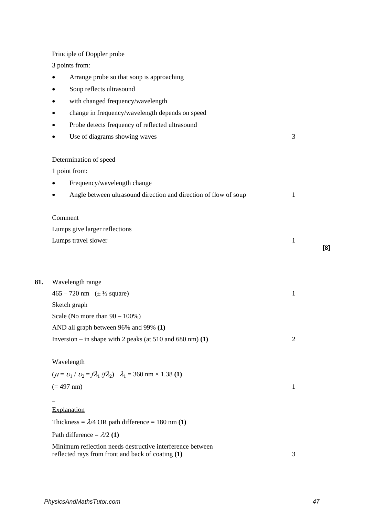## Principle of Doppler probe

3 points from:

- Arrange probe so that soup is approaching
- Soup reflects ultrasound
- with changed frequency/wavelength
- change in frequency/wavelength depends on speed
- Probe detects frequency of reflected ultrasound
- Use of diagrams showing waves 3

## Determination of speed

1 point from:

- Frequency/wavelength change
- Angle between ultrasound direction and direction of flow of soup 1

#### **Comment**

Lumps give larger reflections Lumps travel slower 1

**81.** Wavelength range

 $465 - 720$  nm  $(\pm \frac{1}{2}$  square) 1 Sketch graph Scale (No more than  $90 - 100\%$ ) AND all graph between 96% and 99% **(1)** Inversion – in shape with 2 peaks (at  $510$  and  $680$  nm) (1)  $\hspace{1.5cm}$  2

#### **Wavelength**

$$
(\mu = \nu_1 / \nu_2 = f \lambda_1 / f \lambda_2) \quad \lambda_1 = 360 \text{ nm} \times 1.38 \text{ (1)}
$$

# $(= 497 \text{ nm})$  1

# $\overline{a}$

Explanation

Thickness =  $\lambda$ /4 OR path difference = 180 nm (1)

Path difference  $= \lambda/2$  (1)

Minimum reflection needs destructive interference between reflected rays from front and back of coating **(1)** 3 **[8]**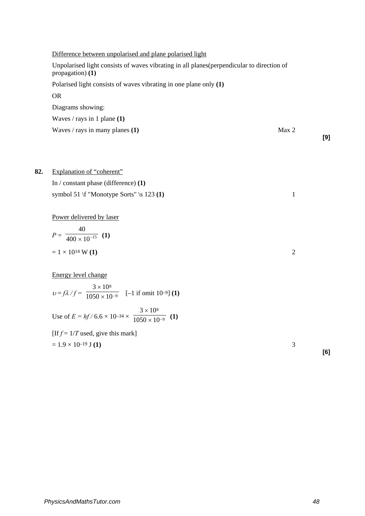| Waves / rays in many planes $(1)$                                                                                | Max <sub>2</sub> | [9] |
|------------------------------------------------------------------------------------------------------------------|------------------|-----|
|                                                                                                                  |                  |     |
| Waves / rays in 1 plane $(1)$                                                                                    |                  |     |
| Diagrams showing:                                                                                                |                  |     |
| <b>OR</b>                                                                                                        |                  |     |
| Polarised light consists of waves vibrating in one plane only (1)                                                |                  |     |
| Unpolarised light consists of waves vibrating in all planes (perpendicular to direction of<br>propagation) $(1)$ |                  |     |
| Difference between unpolarised and plane polarised light                                                         |                  |     |

| 82. | Explanation of "coherent"              |
|-----|----------------------------------------|
|     | In / constant phase (difference) $(1)$ |

symbol 51 \f "Monotype Sorts" \s 123 **(1)** 1

Power delivered by laser

$$
P = \frac{40}{400 \times 10^{-15}} \quad (1)
$$
  
= 1 × 10<sup>14</sup> W (1)

Energy level change

$$
v = f\lambda / f = \frac{3 \times 10^8}{1050 \times 10^{-9}} \quad \text{[-1 if omit } 10^{-9} \text{] (1)}
$$
  
Use of  $E = hf / 6.6 \times 10^{-34} \times \frac{3 \times 10^8}{1050 \times 10^{-9}} \text{ (1)}$ 

[If  $f = 1/T$  used, give this mark]

$$
= 1.9 \times 10^{-19} \text{ J} (1)
$$

**[6]**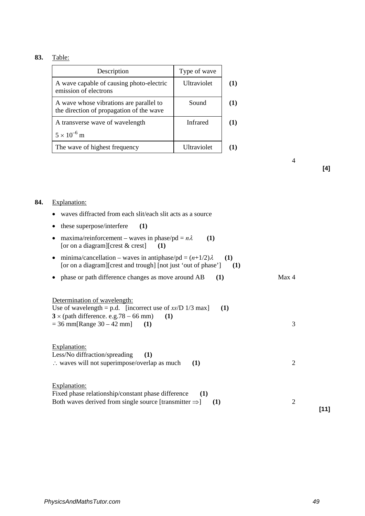# **83.** Table:

| Description                                                                         | Type of wave    |     |
|-------------------------------------------------------------------------------------|-----------------|-----|
| A wave capable of causing photo-electric<br>emission of electrons                   | Ultraviolet     | (1) |
| A wave whose vibrations are parallel to<br>the direction of propagation of the wave | Sound           | (1) |
| A transverse wave of wavelength                                                     | <b>Infrared</b> | (1) |
| $5 \times 10^{-6}$ m                                                                |                 |     |
| The wave of highest frequency                                                       | Ultraviolet     |     |

4

**[4]**

# **84.** Explanation:

| waves diffracted from each slit/each slit acts as a source                                                                                                                                      |                |      |
|-------------------------------------------------------------------------------------------------------------------------------------------------------------------------------------------------|----------------|------|
| these superpose/interfere<br>(1)                                                                                                                                                                |                |      |
| maxima/reinforcement – waves in phase/pd = $n\lambda$<br>(1)<br>[or on a diagram][crest & crest]<br>(1)                                                                                         |                |      |
| minima/cancellation – waves in antiphase/pd = $(n+1/2)\lambda$<br>(1)<br>٠<br>[or on a diagram][crest and trough] [not just 'out of phase']<br>(1)                                              |                |      |
| phase or path difference changes as move around AB<br>(1)                                                                                                                                       | Max 4          |      |
| Determination of wavelength:<br>Use of wavelength = p.d. [incorrect use of $xs/D$ 1/3 max]<br>(1)<br>$3 \times$ (path difference. e.g. 78 – 66 mm)<br>(1)<br>$=$ 36 mm[Range 30 – 42 mm]<br>(1) | 3              |      |
| Explanation:<br>Less/No diffraction/spreading<br>(1)<br>: waves will not superimpose/overlap as much<br>(1)                                                                                     | 2              |      |
| Explanation:<br>Fixed phase relationship/constant phase difference<br>(1)<br>Both waves derived from single source [transmitter $\Rightarrow$ ]<br>(1)                                          | $\overline{2}$ | [11] |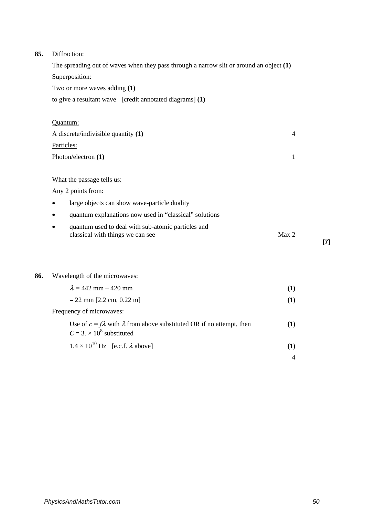# **85.** Diffraction:

| The spreading out of waves when they pass through a narrow slit or around an object $(1)$                  |     |
|------------------------------------------------------------------------------------------------------------|-----|
| Superposition:                                                                                             |     |
| Two or more waves adding (1)                                                                               |     |
| to give a resultant wave [credit annotated diagrams] $(1)$                                                 |     |
|                                                                                                            |     |
| Quantum:                                                                                                   |     |
| A discrete/indivisible quantity $(1)$<br>$\overline{4}$                                                    |     |
| Particles:                                                                                                 |     |
| Photon/electron (1)<br>1                                                                                   |     |
|                                                                                                            |     |
| What the passage tells us:                                                                                 |     |
| Any 2 points from:                                                                                         |     |
| large objects can show wave-particle duality                                                               |     |
| quantum explanations now used in "classical" solutions                                                     |     |
| quantum used to deal with sub-atomic particles and<br>Max <sub>2</sub><br>classical with things we can see | [7] |
|                                                                                                            |     |

# **86.** Wavelength of the microwaves:

| $\lambda = 442$ mm $- 420$ mm                                                                                         |  |
|-----------------------------------------------------------------------------------------------------------------------|--|
| $= 22$ mm [2.2 cm, 0.22 m]                                                                                            |  |
| Frequency of microwaves:                                                                                              |  |
| Use of $c = f\lambda$ with $\lambda$ from above substituted OR if no attempt, then<br>$C = 3 \times 10^8$ substituted |  |
| $1.4 \times 10^{10}$ Hz [e.c.f. $\lambda$ above]                                                                      |  |

*PhysicsAndMathsTutor.com 50*

4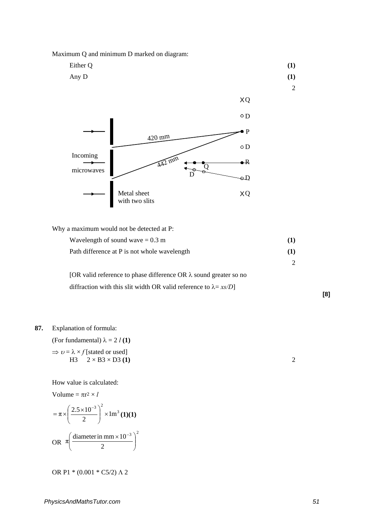Maximum Q and minimum D marked on diagram:

$$
Either Q \tag{1}
$$

Any D  $(1)$ 

2



Why a maximum would not be detected at P:

| Wavelength of sound wave $= 0.3$ m           |     |
|----------------------------------------------|-----|
| Path difference at P is not whole wavelength | (1) |
|                                              |     |
|                                              |     |

[OR valid reference to phase difference OR λ sound greater so no diffraction with this slit width OR valid reference to  $\lambda = xs/D$ ]

# **87.** Explanation of formula:

(For fundamental)  $\lambda = 2$  *l* (1)

$$
\Rightarrow v = \lambda \times f
$$
 [stated or used]  
H3 2 × B3 × D3 (1)

How value is calculated:

Volume = 
$$
\pi r^2 \times l
$$

$$
= \pi \times \left(\frac{2.5 \times 10^{-3}}{2}\right)^2 \times 1 \text{m}^3 \text{ (1)(1)}
$$
  
OR  $\pi \left(\frac{\text{diameter in mm} \times 10^{-3}}{2}\right)^2$ 

OR P1 \* (0.001 \* C5/2) Λ 2

**[8]**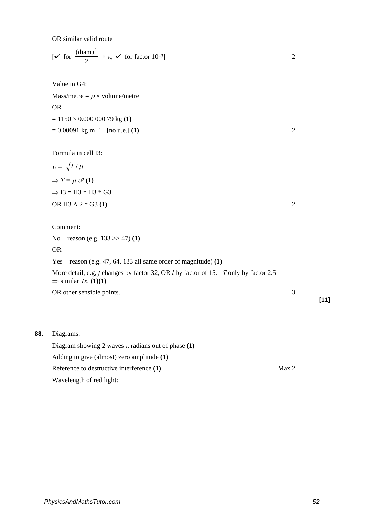OR similar valid route

|  |  | [ $\checkmark$ for $\frac{(\text{diam})^2}{2} \times \pi$ , $\checkmark$ for factor 10-3] |  |  |
|--|--|-------------------------------------------------------------------------------------------|--|--|
|--|--|-------------------------------------------------------------------------------------------|--|--|

Value in G4:

Mass/metre =  $\rho \times$  volume/metre OR = 1150 × 0.000 000 79 kg **(1)**  $= 0.00091 \text{ kg m}^{-1}$  [no u.e.] **(1)** 2

Formula in cell I3:

$$
v = \sqrt{T/\mu}
$$
  
\n
$$
\Rightarrow T = \mu v^2 (1)
$$
  
\n
$$
\Rightarrow 13 = H3 * H3 * G3
$$
  
\nOR H3 A 2 \* G3 (1)

Comment:

No + reason (e.g. 133 >> 47) **(1)**

OR

Yes + reason (e.g. 47, 64, 133 all same order of magnitude) **(1)**

More detail, e.g, *f* changes by factor 32, OR *l* by factor of 15. *T* only by factor 2.5  $\Rightarrow$  similar *Ts*. **(1)(1)** 

OR other sensible points. 3

**88.** Diagrams:

Diagram showing 2 waves  $\pi$  radians out of phase **(1)** Adding to give (almost) zero amplitude **(1)** Reference to destructive interference (1) Max 2 Wavelength of red light:

**[11]**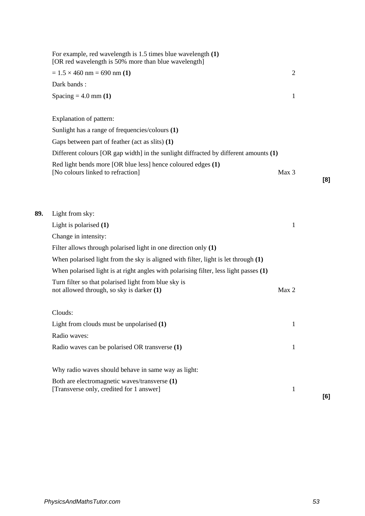|     | For example, red wavelength is $1.5$ times blue wavelength $(1)$<br>[OR red wavelength is 50% more than blue wavelength] |                |     |
|-----|--------------------------------------------------------------------------------------------------------------------------|----------------|-----|
|     | $= 1.5 \times 460$ nm $= 690$ nm (1)                                                                                     | $\overline{2}$ |     |
|     | Dark bands:                                                                                                              |                |     |
|     | Spacing = $4.0$ mm (1)                                                                                                   | 1              |     |
|     | Explanation of pattern:                                                                                                  |                |     |
|     | Sunlight has a range of frequencies/colours (1)                                                                          |                |     |
|     | Gaps between part of feather (act as slits) (1)                                                                          |                |     |
|     | Different colours [OR gap width] in the sunlight diffracted by different amounts (1)                                     |                |     |
|     | Red light bends more [OR blue less] hence coloured edges (1)<br>[No colours linked to refraction]                        | Max 3          | [8] |
| 89. | Light from sky:                                                                                                          |                |     |
|     | Light is polarised $(1)$                                                                                                 | $\mathbf{1}$   |     |
|     | Change in intensity:                                                                                                     |                |     |
|     | Filter allows through polarised light in one direction only $(1)$                                                        |                |     |
|     | When polarised light from the sky is aligned with filter, light is let through $(1)$                                     |                |     |
|     | When polarised light is at right angles with polarising filter, less light passes (1)                                    |                |     |
|     | Turn filter so that polarised light from blue sky is<br>not allowed through, so sky is darker (1)                        | Max 2          |     |
|     | Clouds:                                                                                                                  |                |     |
|     | Light from clouds must be unpolarised (1)                                                                                | $\mathbf{1}$   |     |
|     | Radio waves:                                                                                                             |                |     |
|     | Radio waves can be polarised OR transverse (1)                                                                           | 1              |     |
|     | Why radio waves should behave in same way as light:                                                                      |                |     |
|     | Both are electromagnetic waves/transverse (1)<br>[Transverse only, credited for 1 answer]                                | $\mathbf{1}$   | [6] |
|     |                                                                                                                          |                |     |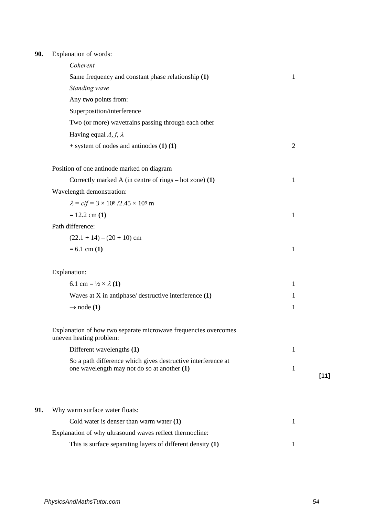# **90.** Explanation of words:

|     | Coherent                                                                                                    |                |      |
|-----|-------------------------------------------------------------------------------------------------------------|----------------|------|
|     | Same frequency and constant phase relationship (1)                                                          | $\mathbf{1}$   |      |
|     | Standing wave                                                                                               |                |      |
|     | Any two points from:                                                                                        |                |      |
|     | Superposition/interference                                                                                  |                |      |
|     | Two (or more) wavetrains passing through each other                                                         |                |      |
|     | Having equal A, f, $\lambda$                                                                                |                |      |
|     | $+$ system of nodes and antinodes $(1)$ $(1)$                                                               | $\overline{2}$ |      |
|     | Position of one antinode marked on diagram                                                                  |                |      |
|     | Correctly marked A (in centre of rings $-$ hot zone) (1)                                                    | $\mathbf{1}$   |      |
|     | Wavelength demonstration:                                                                                   |                |      |
|     | $\lambda = c/f = 3 \times 10^8 / 2.45 \times 10^9$ m                                                        |                |      |
|     | $= 12.2$ cm $(1)$                                                                                           | 1              |      |
|     | Path difference:                                                                                            |                |      |
|     | $(22.1 + 14) - (20 + 10)$ cm                                                                                |                |      |
|     | $= 6.1$ cm $(1)$                                                                                            | $\mathbf{1}$   |      |
|     | Explanation:                                                                                                |                |      |
|     | 6.1 cm = $\frac{1}{2} \times \lambda$ (1)                                                                   | $\mathbf{1}$   |      |
|     | Waves at X in antiphase/ destructive interference (1)                                                       | 1              |      |
|     | $\rightarrow$ node (1)                                                                                      | $\mathbf{1}$   |      |
|     | Explanation of how two separate microwave frequencies overcomes<br>uneven heating problem:                  |                |      |
|     | Different wavelengths (1)                                                                                   | 1              |      |
|     | So a path difference which gives destructive interference at<br>one wavelength may not do so at another (1) | 1              | [11] |
|     |                                                                                                             |                |      |
| 91. | Why warm surface water floats:                                                                              |                |      |
|     | Cold water is denser than warm water $(1)$                                                                  | $\mathbf{1}$   |      |
|     | Explanation of why ultrasound waves reflect thermocline:                                                    |                |      |
|     | This is surface separating layers of different density $(1)$                                                | 1              |      |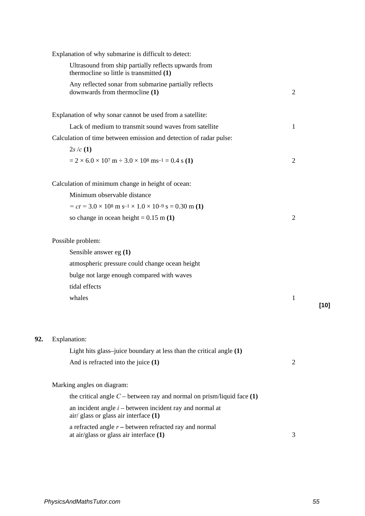|     | Explanation of why submarine is difficult to detect:                                                    |                |        |
|-----|---------------------------------------------------------------------------------------------------------|----------------|--------|
|     | Ultrasound from ship partially reflects upwards from<br>thermocline so little is transmitted (1)        |                |        |
|     | Any reflected sonar from submarine partially reflects<br>downwards from thermocline (1)                 | $\overline{2}$ |        |
|     | Explanation of why sonar cannot be used from a satellite:                                               |                |        |
|     | Lack of medium to transmit sound waves from satellite                                                   | 1              |        |
|     | Calculation of time between emission and detection of radar pulse:                                      |                |        |
|     | 2s/c(1)                                                                                                 |                |        |
|     | $= 2 \times 6.0 \times 10^{7}$ m $\div 3.0 \times 10^{8}$ ms <sup>-1</sup> = 0.4 s (1)                  | $\overline{2}$ |        |
|     | Calculation of minimum change in height of ocean:                                                       |                |        |
|     | Minimum observable distance                                                                             |                |        |
|     | $= ct = 3.0 \times 10^8$ m s <sup>-1</sup> × 1.0 × 10 <sup>-9</sup> s = 0.30 m (1)                      |                |        |
|     | so change in ocean height = $0.15$ m (1)                                                                | $\overline{2}$ |        |
|     | Possible problem:                                                                                       |                |        |
|     | Sensible answer eg $(1)$                                                                                |                |        |
|     | atmospheric pressure could change ocean height                                                          |                |        |
|     | bulge not large enough compared with waves                                                              |                |        |
|     | tidal effects                                                                                           |                |        |
|     | whales                                                                                                  | $\mathbf{1}$   | $[10]$ |
| 92. | Explanation:                                                                                            |                |        |
|     | Light hits glass-juice boundary at less than the critical angle (1)                                     |                |        |
|     | And is refracted into the juice $(1)$                                                                   | $\overline{2}$ |        |
|     | Marking angles on diagram:                                                                              |                |        |
|     | the critical angle $C$ – between ray and normal on prism/liquid face (1)                                |                |        |
|     | an incident angle $i$ – between incident ray and normal at<br>air/ glass or glass air interface (1)     |                |        |
|     | a refracted angle $r$ – between refracted ray and normal<br>at $air/glass$ or glass air interface $(1)$ | 3              |        |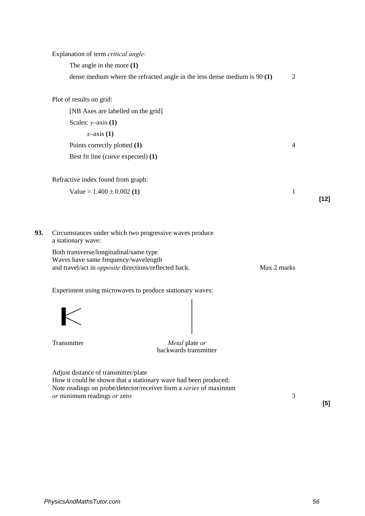|     | Explanation of term critical angle:                                                                                                                                          |                |        |
|-----|------------------------------------------------------------------------------------------------------------------------------------------------------------------------------|----------------|--------|
|     | The angle in the more $(1)$                                                                                                                                                  |                |        |
|     | dense medium where the refracted angle in the less dense medium is $90(1)$                                                                                                   | 2              |        |
|     | Plot of results on grid:                                                                                                                                                     |                |        |
|     | [NB Axes are labelled on the grid]                                                                                                                                           |                |        |
|     | Scales: $y$ -axis (1)                                                                                                                                                        |                |        |
|     | $x$ -axis (1)                                                                                                                                                                |                |        |
|     | Points correctly plotted (1)                                                                                                                                                 | $\overline{4}$ |        |
|     | Best fit line (curve expected) (1)                                                                                                                                           |                |        |
|     | Refractive index found from graph:                                                                                                                                           |                |        |
|     | Value = $1.400 \pm 0.002$ (1)                                                                                                                                                | 1              | $[12]$ |
| 93. | Circumstances under which two progressive waves produce<br>a stationary wave:                                                                                                |                |        |
|     | Both transverse/longitudinal/same type<br>Waves have same frequency/wavelength<br>and travel/act in <i>opposite</i> directions/reflected back.                               | Max 2 marks    |        |
|     | Experiment using microwaves to produce stationary waves:                                                                                                                     |                |        |
|     |                                                                                                                                                                              |                |        |
|     | Transmitter<br>Metal plate or<br>backwards transmitter                                                                                                                       |                |        |
|     | Adjust distance of transmitter/plate<br>How it could be shown that a stationary wave had been produced:<br>Note readings on probe/detector/receiver form a series of maximum |                |        |
|     | or minimum readings or zero                                                                                                                                                  | 3              |        |

**[5]**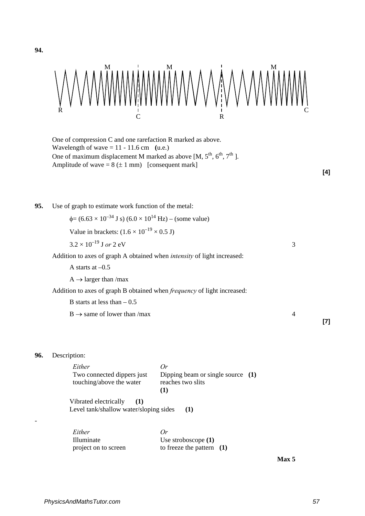

One of compression C and one rarefaction R marked as above. Wavelength of wave  $= 11 - 11.6$  cm (u.e.) One of maximum displacement M marked as above [M,  $5^{th}$ ,  $6^{th}$ ,  $7^{th}$ ]. Amplitude of wave =  $8 (\pm 1 \text{ mm})$  [consequent mark]

**[4]**

**[7]**

**95.** Use of graph to estimate work function of the metal:

 $\phi = (6.63 \times 10^{-34} \text{ J s}) (6.0 \times 10^{14} \text{ Hz}) - (\text{some value})$ 

Value in brackets:  $(1.6 \times 10^{-19} \times 0.5 \text{ J})$ 

$$
3.2 \times 10^{-19} \, \text{J} \, \text{or} \, 2 \, \text{eV}
$$

Addition to axes of graph A obtained when *intensity* of light increased:

A starts at –0.5

 $A \rightarrow$  larger than /max

Addition to axes of graph B obtained when *frequency* of light increased:

B starts at less than  $-0.5$ 

 $B \rightarrow$  same of lower than /max 4

**96.** Description:

-

**94.**

| Either                                                                 | Or                                                            |  |
|------------------------------------------------------------------------|---------------------------------------------------------------|--|
| Two connected dippers just<br>touching/above the water                 | Dipping beam or single source (1)<br>reaches two slits<br>(1) |  |
| Vibrated electrically<br>(1)<br>Level tank/shallow water/sloping sides | (1)                                                           |  |

| Either               | Or                          |  |
|----------------------|-----------------------------|--|
| Illuminate           | Use stroboscope $(1)$       |  |
| project on to screen | to freeze the pattern $(1)$ |  |

 **Max 5**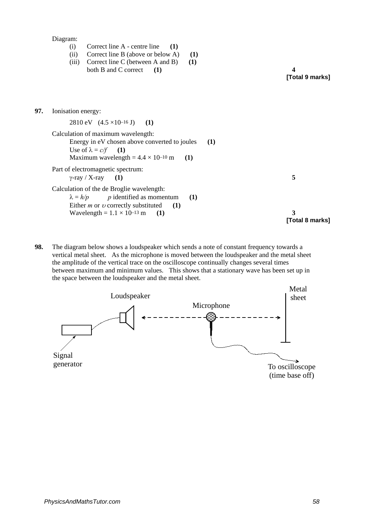Diagram:

- (i) Correct line A centre line **(1)**
- (ii) Correct line B (above or below A) **(1)**
- (iii) Correct line C (between A and B) **(1)** both B and C correct **(1) 4**

**[Total 9 marks]**

| Ionisation energy:                                                                                                                                                                                  |                      |
|-----------------------------------------------------------------------------------------------------------------------------------------------------------------------------------------------------|----------------------|
| 2810 eV $(4.5 \times 10^{-16} \text{ J})$ (1)                                                                                                                                                       |                      |
| Calculation of maximum wavelength:<br>Energy in eV chosen above converted to joules<br>(1)<br>Use of $\lambda = c/f$ (1)<br>Maximum wavelength = $4.4 \times 10^{-10}$ m<br>(1)                     |                      |
| Part of electromagnetic spectrum:<br>$\gamma$ -ray / X-ray (1)                                                                                                                                      | 5                    |
| Calculation of the de Broglie wavelength:<br>$\lambda = h/p$ p identified as momentum<br>(1)<br>Either <i>m</i> or <i>v</i> correctly substituted $(1)$<br>Wavelength = $1.1 \times 10^{-13}$ m (1) | 3<br>[Total 8 marks] |
|                                                                                                                                                                                                     |                      |

**98.** The diagram below shows a loudspeaker which sends a note of constant frequency towards a vertical metal sheet. As the microphone is moved between the loudspeaker and the metal sheet the amplitude of the vertical trace on the oscilloscope continually changes several times between maximum and minimum values. This shows that a stationary wave has been set up in the space between the loudspeaker and the metal sheet.